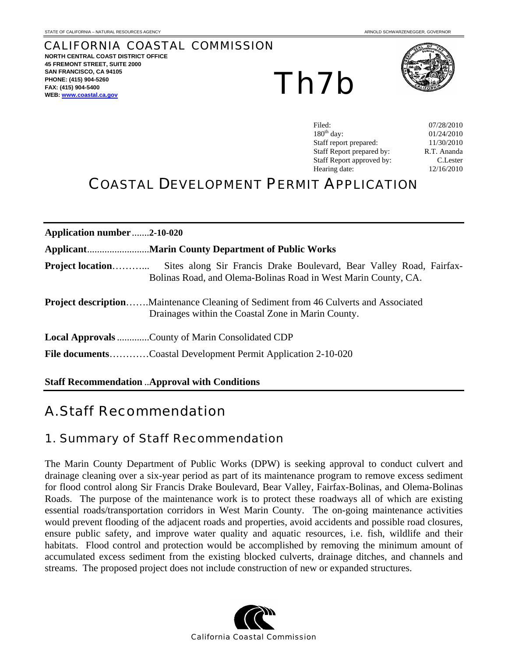# CALIFORNIA COASTAL COMMISSION

**NORTH CENTRAL COAST DISTRICT OFFICE 45 FREMONT STREET, SUITE 2000 SAN FRANCISCO, CA 94105 PHONE: (415) 904-5260 FAX: (415) 904-5400 WEB: www.coastal.ca.gov** 

Th7b



| Filed:                    | 07/28/2010  |
|---------------------------|-------------|
| $180th$ day:              | 01/24/2010  |
| Staff report prepared:    | 11/30/2010  |
| Staff Report prepared by: | R.T. Ananda |
| Staff Report approved by: | C.Lester    |
| Hearing date:             | 12/16/2010  |

# COASTAL DEVELOPMENT PERMIT APPLICATION

| Application number2-10-020 |                                                                                                                                                  |
|----------------------------|--------------------------------------------------------------------------------------------------------------------------------------------------|
|                            |                                                                                                                                                  |
| <b>Project location</b>    | Sites along Sir Francis Drake Boulevard, Bear Valley Road, Fairfax-<br>Bolinas Road, and Olema-Bolinas Road in West Marin County, CA.            |
|                            | <b>Project descriptionMaintenance Cleaning of Sediment from 46 Culverts and Associated</b><br>Drainages within the Coastal Zone in Marin County. |
|                            | <b>Local Approvals County of Marin Consolidated CDP</b>                                                                                          |
|                            | <b>File documentsCoastal Development Permit Application 2-10-020</b>                                                                             |

**Staff Recommendation** ..**Approval with Conditions**

# A. Staff Recommendation

# 1. Summary of Staff Recommendation

The Marin County Department of Public Works (DPW) is seeking approval to conduct culvert and drainage cleaning over a six-year period as part of its maintenance program to remove excess sediment for flood control along Sir Francis Drake Boulevard, Bear Valley, Fairfax-Bolinas, and Olema-Bolinas Roads. The purpose of the maintenance work is to protect these roadways all of which are existing essential roads/transportation corridors in West Marin County. The on-going maintenance activities would prevent flooding of the adjacent roads and properties, avoid accidents and possible road closures, ensure public safety, and improve water quality and aquatic resources, i.e. fish, wildlife and their habitats. Flood control and protection would be accomplished by removing the minimum amount of accumulated excess sediment from the existing blocked culverts, drainage ditches, and channels and streams. The proposed project does not include construction of new or expanded structures.

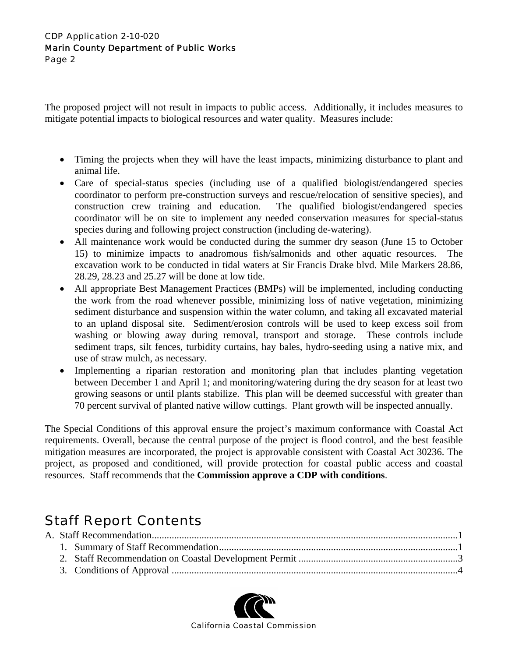The proposed project will not result in impacts to public access. Additionally, it includes measures to mitigate potential impacts to biological resources and water quality. Measures include:

- Timing the projects when they will have the least impacts, minimizing disturbance to plant and animal life.
- Care of special-status species (including use of a qualified biologist/endangered species coordinator to perform pre-construction surveys and rescue/relocation of sensitive species), and construction crew training and education. The qualified biologist/endangered species coordinator will be on site to implement any needed conservation measures for special-status species during and following project construction (including de-watering).
- All maintenance work would be conducted during the summer dry season (June 15 to October 15) to minimize impacts to anadromous fish/salmonids and other aquatic resources. The excavation work to be conducted in tidal waters at Sir Francis Drake blvd. Mile Markers 28.86, 28.29, 28.23 and 25.27 will be done at low tide.
- All appropriate Best Management Practices (BMPs) will be implemented, including conducting the work from the road whenever possible, minimizing loss of native vegetation, minimizing sediment disturbance and suspension within the water column, and taking all excavated material to an upland disposal site. Sediment/erosion controls will be used to keep excess soil from washing or blowing away during removal, transport and storage. These controls include sediment traps, silt fences, turbidity curtains, hay bales, hydro-seeding using a native mix, and use of straw mulch, as necessary.
- Implementing a riparian restoration and monitoring plan that includes planting vegetation between December 1 and April 1; and monitoring/watering during the dry season for at least two growing seasons or until plants stabilize. This plan will be deemed successful with greater than 70 percent survival of planted native willow cuttings. Plant growth will be inspected annually.

The Special Conditions of this approval ensure the project's maximum conformance with Coastal Act requirements. Overall, because the central purpose of the project is flood control, and the best feasible mitigation measures are incorporated, the project is approvable consistent with Coastal Act 30236. The project, as proposed and conditioned, will provide protection for coastal public access and coastal resources. Staff recommends that the **Commission approve a CDP with conditions**.

# Staff Report Contents

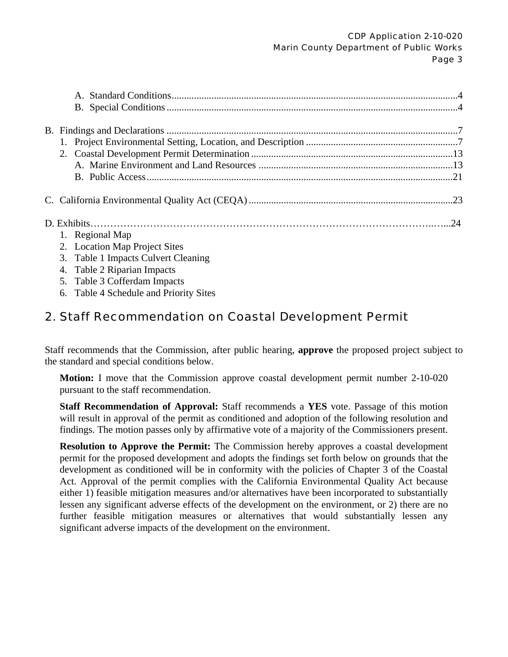| 1. Regional Map                        |  |
|----------------------------------------|--|
| 2. Location Map Project Sites          |  |
| 3. Table 1 Impacts Culvert Cleaning    |  |
| 4. Table 2 Riparian Impacts            |  |
| 5. Table 3 Cofferdam Impacts           |  |
| 6. Table 4 Schedule and Priority Sites |  |

# 2. Staff Recommendation on Coastal Development Permit

Staff recommends that the Commission, after public hearing, **approve** the proposed project subject to the standard and special conditions below.

**Motion:** I move that the Commission approve coastal development permit number 2-10-020 pursuant to the staff recommendation.

**Staff Recommendation of Approval:** Staff recommends a **YES** vote. Passage of this motion will result in approval of the permit as conditioned and adoption of the following resolution and findings. The motion passes only by affirmative vote of a majority of the Commissioners present.

**Resolution to Approve the Permit:** The Commission hereby approves a coastal development permit for the proposed development and adopts the findings set forth below on grounds that the development as conditioned will be in conformity with the policies of Chapter 3 of the Coastal Act. Approval of the permit complies with the California Environmental Quality Act because either 1) feasible mitigation measures and/or alternatives have been incorporated to substantially lessen any significant adverse effects of the development on the environment, or 2) there are no further feasible mitigation measures or alternatives that would substantially lessen any significant adverse impacts of the development on the environment.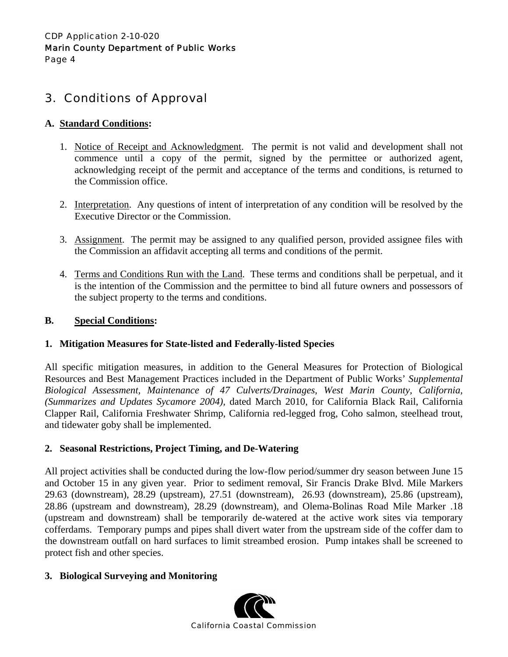# 3. Conditions of Approval

## **A. Standard Conditions:**

- 1. Notice of Receipt and Acknowledgment. The permit is not valid and development shall not commence until a copy of the permit, signed by the permittee or authorized agent, acknowledging receipt of the permit and acceptance of the terms and conditions, is returned to the Commission office.
- 2. Interpretation. Any questions of intent of interpretation of any condition will be resolved by the Executive Director or the Commission.
- 3. Assignment. The permit may be assigned to any qualified person, provided assignee files with the Commission an affidavit accepting all terms and conditions of the permit.
- 4. Terms and Conditions Run with the Land. These terms and conditions shall be perpetual, and it is the intention of the Commission and the permittee to bind all future owners and possessors of the subject property to the terms and conditions.

## **B. Special Conditions:**

## **1. Mitigation Measures for State-listed and Federally-listed Species**

All specific mitigation measures, in addition to the General Measures for Protection of Biological Resources and Best Management Practices included in the Department of Public Works' *Supplemental Biological Assessment, Maintenance of 47 Culverts/Drainages, West Marin County, California, (Summarizes and Updates Sycamore 2004),* dated March 2010, for California Black Rail, California Clapper Rail, California Freshwater Shrimp, California red-legged frog, Coho salmon, steelhead trout, and tidewater goby shall be implemented.

## **2. Seasonal Restrictions, Project Timing, and De-Watering**

All project activities shall be conducted during the low-flow period/summer dry season between June 15 and October 15 in any given year. Prior to sediment removal, Sir Francis Drake Blvd. Mile Markers 29.63 (downstream), 28.29 (upstream), 27.51 (downstream), 26.93 (downstream), 25.86 (upstream), 28.86 (upstream and downstream), 28.29 (downstream), and Olema-Bolinas Road Mile Marker .18 (upstream and downstream) shall be temporarily de-watered at the active work sites via temporary cofferdams. Temporary pumps and pipes shall divert water from the upstream side of the coffer dam to the downstream outfall on hard surfaces to limit streambed erosion. Pump intakes shall be screened to protect fish and other species.

## **3. Biological Surveying and Monitoring**

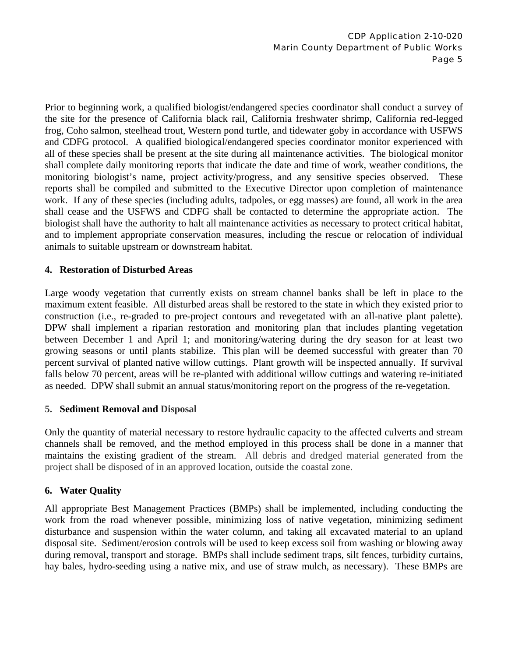Prior to beginning work, a qualified biologist/endangered species coordinator shall conduct a survey of the site for the presence of California black rail, California freshwater shrimp, California red-legged frog, Coho salmon, steelhead trout, Western pond turtle, and tidewater goby in accordance with USFWS and CDFG protocol. A qualified biological/endangered species coordinator monitor experienced with all of these species shall be present at the site during all maintenance activities. The biological monitor shall complete daily monitoring reports that indicate the date and time of work, weather conditions, the monitoring biologist's name, project activity/progress, and any sensitive species observed. These reports shall be compiled and submitted to the Executive Director upon completion of maintenance work. If any of these species (including adults, tadpoles, or egg masses) are found, all work in the area shall cease and the USFWS and CDFG shall be contacted to determine the appropriate action. The biologist shall have the authority to halt all maintenance activities as necessary to protect critical habitat, and to implement appropriate conservation measures, including the rescue or relocation of individual animals to suitable upstream or downstream habitat.

#### **4. Restoration of Disturbed Areas**

Large woody vegetation that currently exists on stream channel banks shall be left in place to the maximum extent feasible. All disturbed areas shall be restored to the state in which they existed prior to construction (i.e., re-graded to pre-project contours and revegetated with an all-native plant palette). DPW shall implement a riparian restoration and monitoring plan that includes planting vegetation between December 1 and April 1; and monitoring/watering during the dry season for at least two growing seasons or until plants stabilize. This plan will be deemed successful with greater than 70 percent survival of planted native willow cuttings. Plant growth will be inspected annually. If survival falls below 70 percent, areas will be re-planted with additional willow cuttings and watering re-initiated as needed. DPW shall submit an annual status/monitoring report on the progress of the re-vegetation.

#### **5. Sediment Removal and Disposal**

Only the quantity of material necessary to restore hydraulic capacity to the affected culverts and stream channels shall be removed, and the method employed in this process shall be done in a manner that maintains the existing gradient of the stream. All debris and dredged material generated from the project shall be disposed of in an approved location, outside the coastal zone.

## **6. Water Quality**

All appropriate Best Management Practices (BMPs) shall be implemented, including conducting the work from the road whenever possible, minimizing loss of native vegetation, minimizing sediment disturbance and suspension within the water column, and taking all excavated material to an upland disposal site. Sediment/erosion controls will be used to keep excess soil from washing or blowing away during removal, transport and storage. BMPs shall include sediment traps, silt fences, turbidity curtains, hay bales, hydro-seeding using a native mix, and use of straw mulch, as necessary). These BMPs are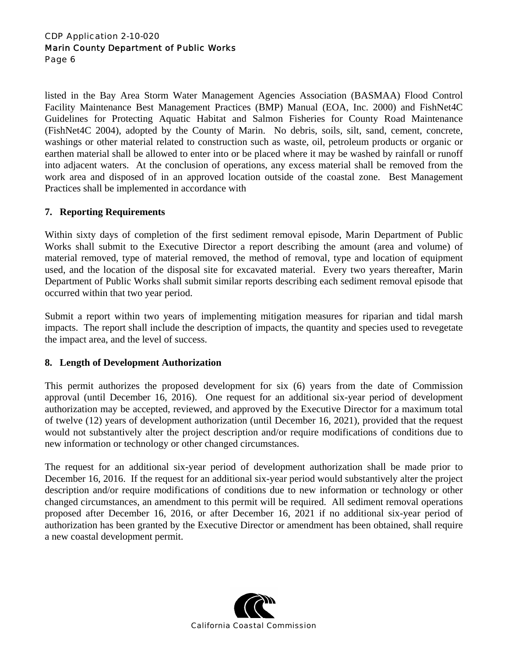listed in the Bay Area Storm Water Management Agencies Association (BASMAA) Flood Control Facility Maintenance Best Management Practices (BMP) Manual (EOA, Inc. 2000) and FishNet4C Guidelines for Protecting Aquatic Habitat and Salmon Fisheries for County Road Maintenance (FishNet4C 2004), adopted by the County of Marin. No debris, soils, silt, sand, cement, concrete, washings or other material related to construction such as waste, oil, petroleum products or organic or earthen material shall be allowed to enter into or be placed where it may be washed by rainfall or runoff into adjacent waters. At the conclusion of operations, any excess material shall be removed from the work area and disposed of in an approved location outside of the coastal zone. Best Management Practices shall be implemented in accordance with

#### **7. Reporting Requirements**

Within sixty days of completion of the first sediment removal episode, Marin Department of Public Works shall submit to the Executive Director a report describing the amount (area and volume) of material removed, type of material removed, the method of removal, type and location of equipment used, and the location of the disposal site for excavated material. Every two years thereafter, Marin Department of Public Works shall submit similar reports describing each sediment removal episode that occurred within that two year period.

Submit a report within two years of implementing mitigation measures for riparian and tidal marsh impacts. The report shall include the description of impacts, the quantity and species used to revegetate the impact area, and the level of success.

#### **8. Length of Development Authorization**

This permit authorizes the proposed development for six (6) years from the date of Commission approval (until December 16, 2016). One request for an additional six-year period of development authorization may be accepted, reviewed, and approved by the Executive Director for a maximum total of twelve (12) years of development authorization (until December 16, 2021), provided that the request would not substantively alter the project description and/or require modifications of conditions due to new information or technology or other changed circumstances.

The request for an additional six-year period of development authorization shall be made prior to December 16, 2016. If the request for an additional six-year period would substantively alter the project description and/or require modifications of conditions due to new information or technology or other changed circumstances, an amendment to this permit will be required. All sediment removal operations proposed after December 16, 2016, or after December 16, 2021 if no additional six-year period of authorization has been granted by the Executive Director or amendment has been obtained, shall require a new coastal development permit.

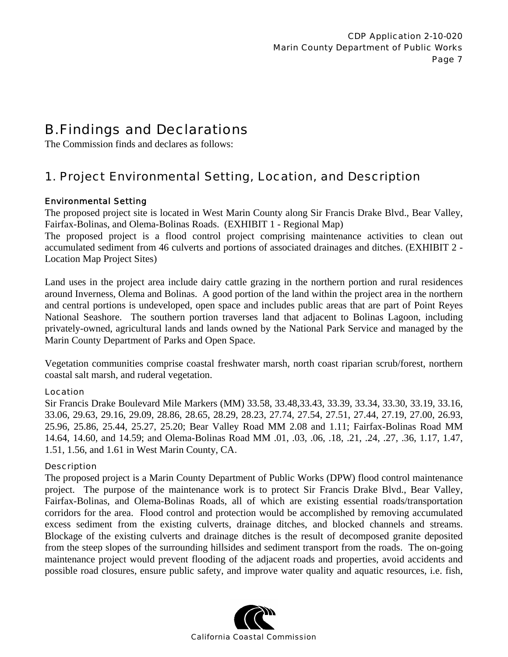# B. Findings and Declarations

The Commission finds and declares as follows:

# 1. Project Environmental Setting, Location, and Description

## Environmental Setting

The proposed project site is located in West Marin County along Sir Francis Drake Blvd., Bear Valley, Fairfax-Bolinas, and Olema-Bolinas Roads. (EXHIBIT 1 - Regional Map)

The proposed project is a flood control project comprising maintenance activities to clean out accumulated sediment from 46 culverts and portions of associated drainages and ditches. (EXHIBIT 2 - Location Map Project Sites)

Land uses in the project area include dairy cattle grazing in the northern portion and rural residences around Inverness, Olema and Bolinas. A good portion of the land within the project area in the northern and central portions is undeveloped, open space and includes public areas that are part of Point Reyes National Seashore. The southern portion traverses land that adjacent to Bolinas Lagoon, including privately-owned, agricultural lands and lands owned by the National Park Service and managed by the Marin County Department of Parks and Open Space.

Vegetation communities comprise coastal freshwater marsh, north coast riparian scrub/forest, northern coastal salt marsh, and ruderal vegetation.

#### Location

Sir Francis Drake Boulevard Mile Markers (MM) 33.58, 33.48,33.43, 33.39, 33.34, 33.30, 33.19, 33.16, 33.06, 29.63, 29.16, 29.09, 28.86, 28.65, 28.29, 28.23, 27.74, 27.54, 27.51, 27.44, 27.19, 27.00, 26.93, 25.96, 25.86, 25.44, 25.27, 25.20; Bear Valley Road MM 2.08 and 1.11; Fairfax-Bolinas Road MM 14.64, 14.60, and 14.59; and Olema-Bolinas Road MM .01, .03, .06, .18, .21, .24, .27, .36, 1.17, 1.47, 1.51, 1.56, and 1.61 in West Marin County, CA.

#### **Description**

The proposed project is a Marin County Department of Public Works (DPW) flood control maintenance project. The purpose of the maintenance work is to protect Sir Francis Drake Blvd., Bear Valley, Fairfax-Bolinas, and Olema-Bolinas Roads, all of which are existing essential roads/transportation corridors for the area. Flood control and protection would be accomplished by removing accumulated excess sediment from the existing culverts, drainage ditches, and blocked channels and streams. Blockage of the existing culverts and drainage ditches is the result of decomposed granite deposited from the steep slopes of the surrounding hillsides and sediment transport from the roads. The on-going maintenance project would prevent flooding of the adjacent roads and properties, avoid accidents and possible road closures, ensure public safety, and improve water quality and aquatic resources, i.e. fish,

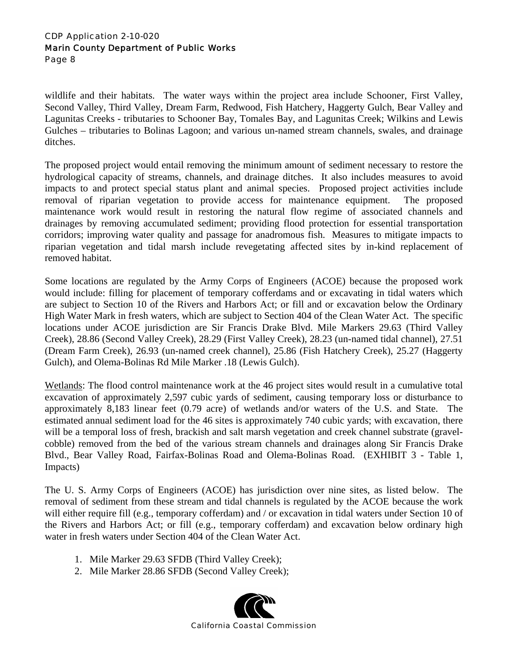wildlife and their habitats. The water ways within the project area include Schooner, First Valley, Second Valley, Third Valley, Dream Farm, Redwood, Fish Hatchery, Haggerty Gulch, Bear Valley and Lagunitas Creeks - tributaries to Schooner Bay, Tomales Bay, and Lagunitas Creek; Wilkins and Lewis Gulches – tributaries to Bolinas Lagoon; and various un-named stream channels, swales, and drainage ditches.

The proposed project would entail removing the minimum amount of sediment necessary to restore the hydrological capacity of streams, channels, and drainage ditches. It also includes measures to avoid impacts to and protect special status plant and animal species. Proposed project activities include removal of riparian vegetation to provide access for maintenance equipment. The proposed maintenance work would result in restoring the natural flow regime of associated channels and drainages by removing accumulated sediment; providing flood protection for essential transportation corridors; improving water quality and passage for anadromous fish. Measures to mitigate impacts to riparian vegetation and tidal marsh include revegetating affected sites by in-kind replacement of removed habitat.

Some locations are regulated by the Army Corps of Engineers (ACOE) because the proposed work would include: filling for placement of temporary cofferdams and or excavating in tidal waters which are subject to Section 10 of the Rivers and Harbors Act; or fill and or excavation below the Ordinary High Water Mark in fresh waters, which are subject to Section 404 of the Clean Water Act. The specific locations under ACOE jurisdiction are Sir Francis Drake Blvd. Mile Markers 29.63 (Third Valley Creek), 28.86 (Second Valley Creek), 28.29 (First Valley Creek), 28.23 (un-named tidal channel), 27.51 (Dream Farm Creek), 26.93 (un-named creek channel), 25.86 (Fish Hatchery Creek), 25.27 (Haggerty Gulch), and Olema-Bolinas Rd Mile Marker .18 (Lewis Gulch).

Wetlands: The flood control maintenance work at the 46 project sites would result in a cumulative total excavation of approximately 2,597 cubic yards of sediment, causing temporary loss or disturbance to approximately 8,183 linear feet (0.79 acre) of wetlands and/or waters of the U.S. and State. The estimated annual sediment load for the 46 sites is approximately 740 cubic yards; with excavation, there will be a temporal loss of fresh, brackish and salt marsh vegetation and creek channel substrate (gravelcobble) removed from the bed of the various stream channels and drainages along Sir Francis Drake Blvd., Bear Valley Road, Fairfax-Bolinas Road and Olema-Bolinas Road. (EXHIBIT 3 - Table 1, Impacts)

The U. S. Army Corps of Engineers (ACOE) has jurisdiction over nine sites, as listed below. The removal of sediment from these stream and tidal channels is regulated by the ACOE because the work will either require fill (e.g., temporary cofferdam) and / or excavation in tidal waters under Section 10 of the Rivers and Harbors Act; or fill (e.g., temporary cofferdam) and excavation below ordinary high water in fresh waters under Section 404 of the Clean Water Act.

- 1. Mile Marker 29.63 SFDB (Third Valley Creek);
- 2. Mile Marker 28.86 SFDB (Second Valley Creek);

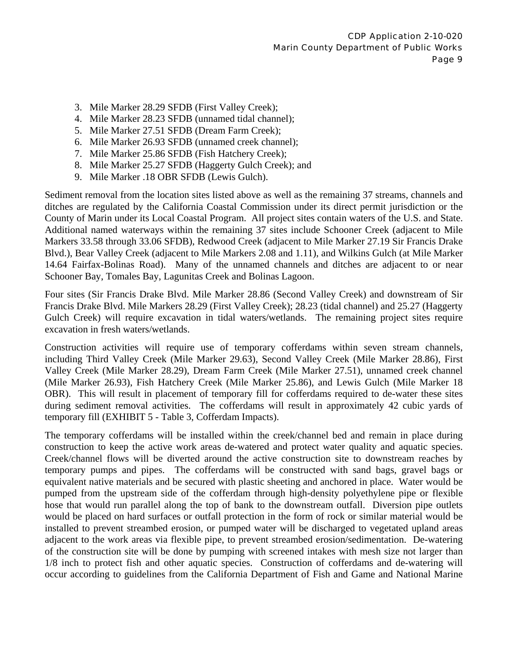- 3. Mile Marker 28.29 SFDB (First Valley Creek);
- 4. Mile Marker 28.23 SFDB (unnamed tidal channel);
- 5. Mile Marker 27.51 SFDB (Dream Farm Creek);
- 6. Mile Marker 26.93 SFDB (unnamed creek channel);
- 7. Mile Marker 25.86 SFDB (Fish Hatchery Creek);
- 8. Mile Marker 25.27 SFDB (Haggerty Gulch Creek); and
- 9. Mile Marker .18 OBR SFDB (Lewis Gulch).

Sediment removal from the location sites listed above as well as the remaining 37 streams, channels and ditches are regulated by the California Coastal Commission under its direct permit jurisdiction or the County of Marin under its Local Coastal Program. All project sites contain waters of the U.S. and State. Additional named waterways within the remaining 37 sites include Schooner Creek (adjacent to Mile Markers 33.58 through 33.06 SFDB), Redwood Creek (adjacent to Mile Marker 27.19 Sir Francis Drake Blvd.), Bear Valley Creek (adjacent to Mile Markers 2.08 and 1.11), and Wilkins Gulch (at Mile Marker 14.64 Fairfax-Bolinas Road). Many of the unnamed channels and ditches are adjacent to or near Schooner Bay, Tomales Bay, Lagunitas Creek and Bolinas Lagoon.

Four sites (Sir Francis Drake Blvd. Mile Marker 28.86 (Second Valley Creek) and downstream of Sir Francis Drake Blvd. Mile Markers 28.29 (First Valley Creek); 28.23 (tidal channel) and 25.27 (Haggerty Gulch Creek) will require excavation in tidal waters/wetlands. The remaining project sites require excavation in fresh waters/wetlands.

Construction activities will require use of temporary cofferdams within seven stream channels, including Third Valley Creek (Mile Marker 29.63), Second Valley Creek (Mile Marker 28.86), First Valley Creek (Mile Marker 28.29), Dream Farm Creek (Mile Marker 27.51), unnamed creek channel (Mile Marker 26.93), Fish Hatchery Creek (Mile Marker 25.86), and Lewis Gulch (Mile Marker 18 OBR). This will result in placement of temporary fill for cofferdams required to de-water these sites during sediment removal activities. The cofferdams will result in approximately 42 cubic yards of temporary fill (EXHIBIT 5 - Table 3, Cofferdam Impacts).

The temporary cofferdams will be installed within the creek/channel bed and remain in place during construction to keep the active work areas de-watered and protect water quality and aquatic species. Creek/channel flows will be diverted around the active construction site to downstream reaches by temporary pumps and pipes. The cofferdams will be constructed with sand bags, gravel bags or equivalent native materials and be secured with plastic sheeting and anchored in place. Water would be pumped from the upstream side of the cofferdam through high-density polyethylene pipe or flexible hose that would run parallel along the top of bank to the downstream outfall. Diversion pipe outlets would be placed on hard surfaces or outfall protection in the form of rock or similar material would be installed to prevent streambed erosion, or pumped water will be discharged to vegetated upland areas adjacent to the work areas via flexible pipe, to prevent streambed erosion/sedimentation. De-watering of the construction site will be done by pumping with screened intakes with mesh size not larger than 1/8 inch to protect fish and other aquatic species. Construction of cofferdams and de-watering will occur according to guidelines from the California Department of Fish and Game and National Marine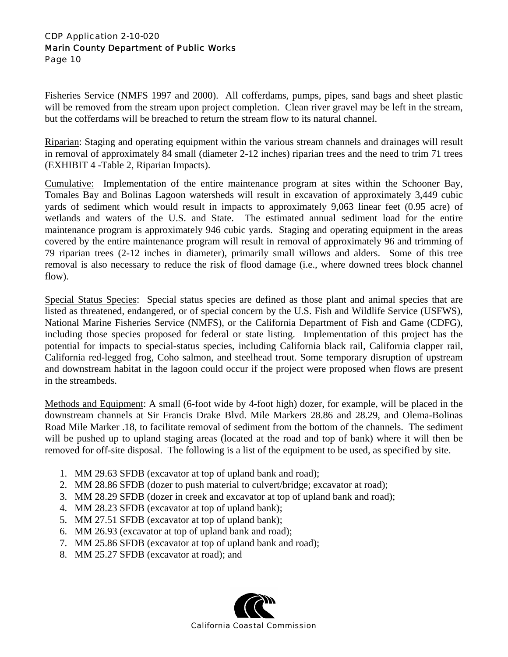Fisheries Service (NMFS 1997 and 2000). All cofferdams, pumps, pipes, sand bags and sheet plastic will be removed from the stream upon project completion. Clean river gravel may be left in the stream, but the cofferdams will be breached to return the stream flow to its natural channel.

Riparian: Staging and operating equipment within the various stream channels and drainages will result in removal of approximately 84 small (diameter 2-12 inches) riparian trees and the need to trim 71 trees (EXHIBIT 4 -Table 2, Riparian Impacts).

Cumulative:Implementation of the entire maintenance program at sites within the Schooner Bay, Tomales Bay and Bolinas Lagoon watersheds will result in excavation of approximately 3,449 cubic yards of sediment which would result in impacts to approximately 9,063 linear feet (0.95 acre) of wetlands and waters of the U.S. and State. The estimated annual sediment load for the entire maintenance program is approximately 946 cubic yards. Staging and operating equipment in the areas covered by the entire maintenance program will result in removal of approximately 96 and trimming of 79 riparian trees (2-12 inches in diameter), primarily small willows and alders. Some of this tree removal is also necessary to reduce the risk of flood damage (i.e., where downed trees block channel flow).

Special Status Species: Special status species are defined as those plant and animal species that are listed as threatened, endangered, or of special concern by the U.S. Fish and Wildlife Service (USFWS), National Marine Fisheries Service (NMFS), or the California Department of Fish and Game (CDFG), including those species proposed for federal or state listing. Implementation of this project has the potential for impacts to special-status species, including California black rail, California clapper rail, California red-legged frog, Coho salmon, and steelhead trout. Some temporary disruption of upstream and downstream habitat in the lagoon could occur if the project were proposed when flows are present in the streambeds.

Methods and Equipment: A small (6-foot wide by 4-foot high) dozer, for example, will be placed in the downstream channels at Sir Francis Drake Blvd. Mile Markers 28.86 and 28.29, and Olema-Bolinas Road Mile Marker .18, to facilitate removal of sediment from the bottom of the channels. The sediment will be pushed up to upland staging areas (located at the road and top of bank) where it will then be removed for off-site disposal. The following is a list of the equipment to be used, as specified by site.

- 1. MM 29.63 SFDB (excavator at top of upland bank and road);
- 2. MM 28.86 SFDB (dozer to push material to culvert/bridge; excavator at road);
- 3. MM 28.29 SFDB (dozer in creek and excavator at top of upland bank and road);
- 4. MM 28.23 SFDB (excavator at top of upland bank);
- 5. MM 27.51 SFDB (excavator at top of upland bank);
- 6. MM 26.93 (excavator at top of upland bank and road);
- 7. MM 25.86 SFDB (excavator at top of upland bank and road);
- 8. MM 25.27 SFDB (excavator at road); and

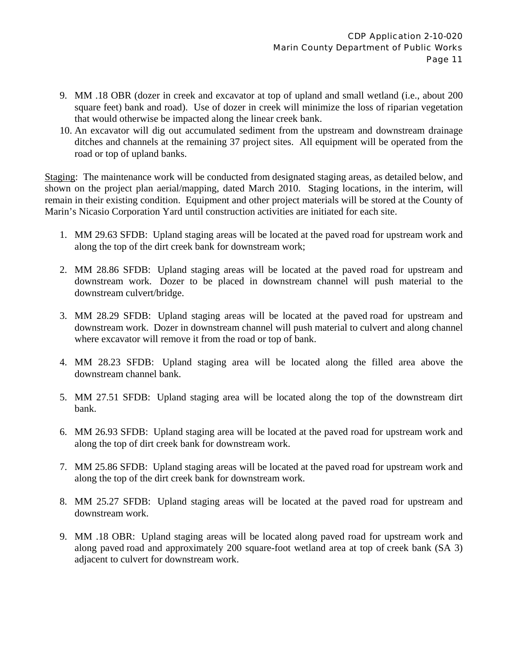- 9. MM .18 OBR (dozer in creek and excavator at top of upland and small wetland (i.e., about 200 square feet) bank and road). Use of dozer in creek will minimize the loss of riparian vegetation that would otherwise be impacted along the linear creek bank.
- 10. An excavator will dig out accumulated sediment from the upstream and downstream drainage ditches and channels at the remaining 37 project sites. All equipment will be operated from the road or top of upland banks.

Staging: The maintenance work will be conducted from designated staging areas, as detailed below, and shown on the project plan aerial/mapping, dated March 2010. Staging locations, in the interim, will remain in their existing condition. Equipment and other project materials will be stored at the County of Marin's Nicasio Corporation Yard until construction activities are initiated for each site.

- 1. MM 29.63 SFDB: Upland staging areas will be located at the paved road for upstream work and along the top of the dirt creek bank for downstream work;
- 2. MM 28.86 SFDB: Upland staging areas will be located at the paved road for upstream and downstream work. Dozer to be placed in downstream channel will push material to the downstream culvert/bridge.
- 3. MM 28.29 SFDB: Upland staging areas will be located at the paved road for upstream and downstream work. Dozer in downstream channel will push material to culvert and along channel where excavator will remove it from the road or top of bank.
- 4. MM 28.23 SFDB: Upland staging area will be located along the filled area above the downstream channel bank.
- 5. MM 27.51 SFDB: Upland staging area will be located along the top of the downstream dirt bank.
- 6. MM 26.93 SFDB: Upland staging area will be located at the paved road for upstream work and along the top of dirt creek bank for downstream work.
- 7. MM 25.86 SFDB: Upland staging areas will be located at the paved road for upstream work and along the top of the dirt creek bank for downstream work.
- 8. MM 25.27 SFDB: Upland staging areas will be located at the paved road for upstream and downstream work.
- 9. MM .18 OBR: Upland staging areas will be located along paved road for upstream work and along paved road and approximately 200 square-foot wetland area at top of creek bank (SA 3) adjacent to culvert for downstream work.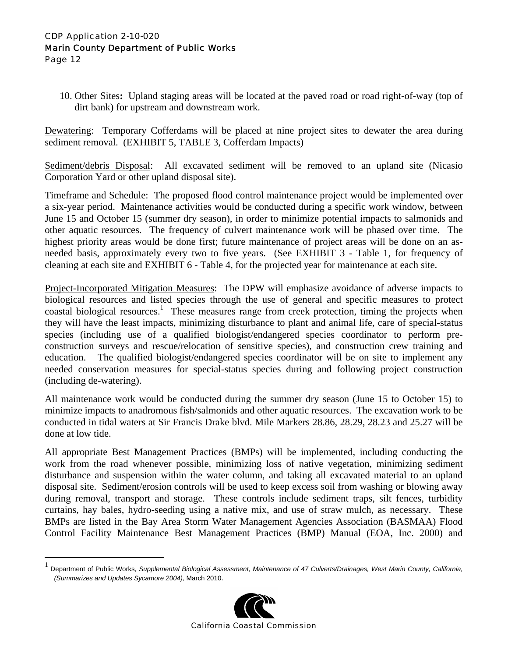<u>.</u>

10. Other Sites**:** Upland staging areas will be located at the paved road or road right-of-way (top of dirt bank) for upstream and downstream work.

Dewatering: Temporary Cofferdams will be placed at nine project sites to dewater the area during sediment removal. (EXHIBIT 5, TABLE 3, Cofferdam Impacts)

Sediment/debris Disposal: All excavated sediment will be removed to an upland site (Nicasio Corporation Yard or other upland disposal site).

Timeframe and Schedule: The proposed flood control maintenance project would be implemented over a six-year period. Maintenance activities would be conducted during a specific work window, between June 15 and October 15 (summer dry season), in order to minimize potential impacts to salmonids and other aquatic resources. The frequency of culvert maintenance work will be phased over time. The highest priority areas would be done first; future maintenance of project areas will be done on an asneeded basis, approximately every two to five years. (See EXHIBIT 3 - Table 1, for frequency of cleaning at each site and EXHIBIT 6 - Table 4, for the projected year for maintenance at each site.

Project-Incorporated Mitigation Measures: The DPW will emphasize avoidance of adverse impacts to biological resources and listed species through the use of general and specific measures to protect coastal biological resources.<sup>1</sup> These measures range from creek protection, timing the projects when they will have the least impacts, minimizing disturbance to plant and animal life, care of special-status species (including use of a qualified biologist/endangered species coordinator to perform preconstruction surveys and rescue/relocation of sensitive species), and construction crew training and education. The qualified biologist/endangered species coordinator will be on site to implement any needed conservation measures for special-status species during and following project construction (including de-watering).

All maintenance work would be conducted during the summer dry season (June 15 to October 15) to minimize impacts to anadromous fish/salmonids and other aquatic resources. The excavation work to be conducted in tidal waters at Sir Francis Drake blvd. Mile Markers 28.86, 28.29, 28.23 and 25.27 will be done at low tide.

All appropriate Best Management Practices (BMPs) will be implemented, including conducting the work from the road whenever possible, minimizing loss of native vegetation, minimizing sediment disturbance and suspension within the water column, and taking all excavated material to an upland disposal site. Sediment/erosion controls will be used to keep excess soil from washing or blowing away during removal, transport and storage. These controls include sediment traps, silt fences, turbidity curtains, hay bales, hydro-seeding using a native mix, and use of straw mulch, as necessary. These BMPs are listed in the Bay Area Storm Water Management Agencies Association (BASMAA) Flood Control Facility Maintenance Best Management Practices (BMP) Manual (EOA, Inc. 2000) and

<sup>1</sup> Department of Public Works, *Supplemental Biological Assessment, Maintenance of 47 Culverts/Drainages, West Marin County, California, (Summarizes and Updates Sycamore 2004),* March 2010.

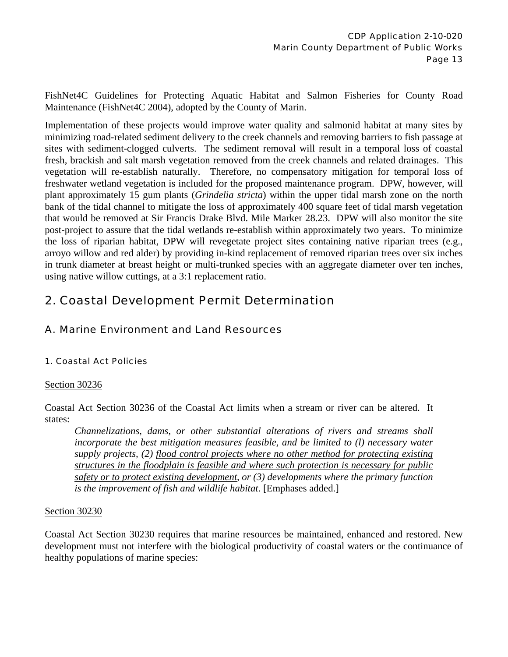FishNet4C Guidelines for Protecting Aquatic Habitat and Salmon Fisheries for County Road Maintenance (FishNet4C 2004), adopted by the County of Marin.

Implementation of these projects would improve water quality and salmonid habitat at many sites by minimizing road-related sediment delivery to the creek channels and removing barriers to fish passage at sites with sediment-clogged culverts. The sediment removal will result in a temporal loss of coastal fresh, brackish and salt marsh vegetation removed from the creek channels and related drainages. This vegetation will re-establish naturally. Therefore, no compensatory mitigation for temporal loss of freshwater wetland vegetation is included for the proposed maintenance program. DPW, however, will plant approximately 15 gum plants (*Grindelia stricta*) within the upper tidal marsh zone on the north bank of the tidal channel to mitigate the loss of approximately 400 square feet of tidal marsh vegetation that would be removed at Sir Francis Drake Blvd. Mile Marker 28.23. DPW will also monitor the site post-project to assure that the tidal wetlands re-establish within approximately two years. To minimize the loss of riparian habitat, DPW will revegetate project sites containing native riparian trees (e.g., arroyo willow and red alder) by providing in-kind replacement of removed riparian trees over six inches in trunk diameter at breast height or multi-trunked species with an aggregate diameter over ten inches, using native willow cuttings, at a 3:1 replacement ratio.

# 2. Coastal Development Permit Determination

## A. Marine Environment and Land Resources

## 1. Coastal Act Policies

#### Section 30236

Coastal Act Section 30236 of the Coastal Act limits when a stream or river can be altered. It states:

*Channelizations, dams, or other substantial alterations of rivers and streams shall incorporate the best mitigation measures feasible, and be limited to (l) necessary water supply projects, (2) flood control projects where no other method for protecting existing structures in the floodplain is feasible and where such protection is necessary for public safety or to protect existing development, or (3) developments where the primary function is the improvement of fish and wildlife habitat*. [Emphases added.]

#### Section 30230

Coastal Act Section 30230 requires that marine resources be maintained, enhanced and restored. New development must not interfere with the biological productivity of coastal waters or the continuance of healthy populations of marine species: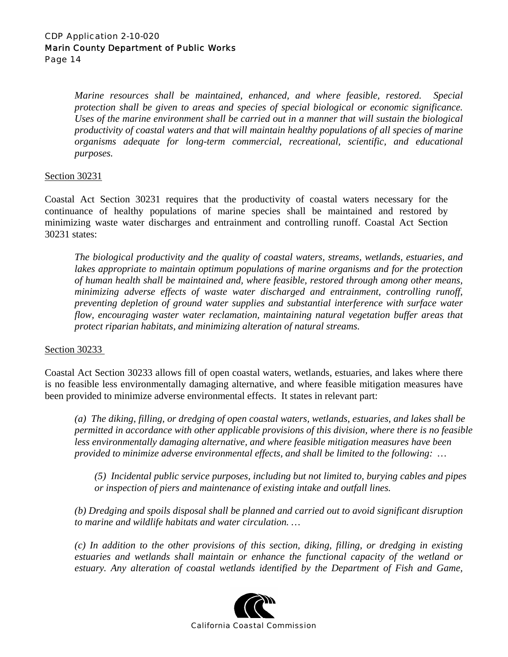*Marine resources shall be maintained, enhanced, and where feasible, restored. Special protection shall be given to areas and species of special biological or economic significance. Uses of the marine environment shall be carried out in a manner that will sustain the biological productivity of coastal waters and that will maintain healthy populations of all species of marine organisms adequate for long-term commercial, recreational, scientific, and educational purposes.* 

#### Section 30231

Coastal Act Section 30231 requires that the productivity of coastal waters necessary for the continuance of healthy populations of marine species shall be maintained and restored by minimizing waste water discharges and entrainment and controlling runoff. Coastal Act Section 30231 states:

*The biological productivity and the quality of coastal waters, streams, wetlands, estuaries, and*  lakes appropriate to maintain optimum populations of marine organisms and for the protection *of human health shall be maintained and, where feasible, restored through among other means, minimizing adverse effects of waste water discharged and entrainment, controlling runoff, preventing depletion of ground water supplies and substantial interference with surface water flow, encouraging waster water reclamation, maintaining natural vegetation buffer areas that protect riparian habitats, and minimizing alteration of natural streams.* 

#### Section 30233

Coastal Act Section 30233 allows fill of open coastal waters, wetlands, estuaries, and lakes where there is no feasible less environmentally damaging alternative, and where feasible mitigation measures have been provided to minimize adverse environmental effects. It states in relevant part:

*(a) The diking, filling, or dredging of open coastal waters, wetlands, estuaries, and lakes shall be permitted in accordance with other applicable provisions of this division, where there is no feasible less environmentally damaging alternative, and where feasible mitigation measures have been provided to minimize adverse environmental effects, and shall be limited to the following: …* 

*(5) Incidental public service purposes, including but not limited to, burying cables and pipes or inspection of piers and maintenance of existing intake and outfall lines.* 

*(b) Dredging and spoils disposal shall be planned and carried out to avoid significant disruption to marine and wildlife habitats and water circulation. …* 

*(c) In addition to the other provisions of this section, diking, filling, or dredging in existing estuaries and wetlands shall maintain or enhance the functional capacity of the wetland or estuary. Any alteration of coastal wetlands identified by the Department of Fish and Game,* 

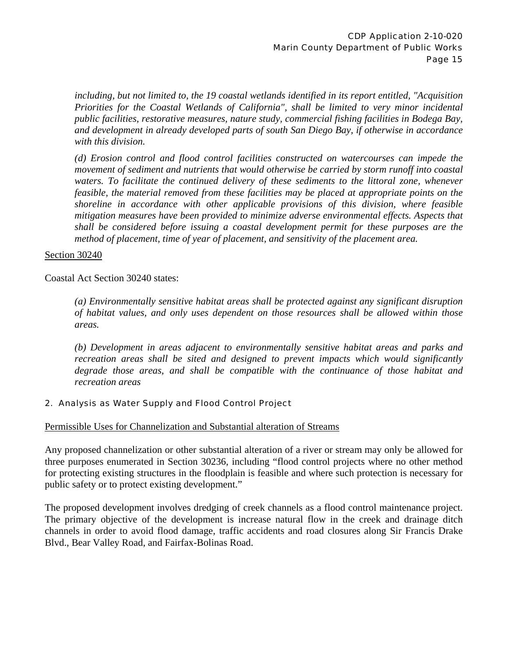*including, but not limited to, the 19 coastal wetlands identified in its report entitled, "Acquisition Priorities for the Coastal Wetlands of California", shall be limited to very minor incidental public facilities, restorative measures, nature study, commercial fishing facilities in Bodega Bay, and development in already developed parts of south San Diego Bay, if otherwise in accordance with this division.* 

*(d) Erosion control and flood control facilities constructed on watercourses can impede the movement of sediment and nutrients that would otherwise be carried by storm runoff into coastal waters. To facilitate the continued delivery of these sediments to the littoral zone, whenever feasible, the material removed from these facilities may be placed at appropriate points on the shoreline in accordance with other applicable provisions of this division, where feasible mitigation measures have been provided to minimize adverse environmental effects. Aspects that shall be considered before issuing a coastal development permit for these purposes are the method of placement, time of year of placement, and sensitivity of the placement area.* 

#### Section 30240

Coastal Act Section 30240 states:

*(a) Environmentally sensitive habitat areas shall be protected against any significant disruption of habitat values, and only uses dependent on those resources shall be allowed within those areas.* 

*(b) Development in areas adjacent to environmentally sensitive habitat areas and parks and*  recreation areas shall be sited and designed to prevent impacts which would significantly *degrade those areas, and shall be compatible with the continuance of those habitat and recreation areas* 

#### 2. Analysis as Water Supply and Flood Control Project

Permissible Uses for Channelization and Substantial alteration of Streams

Any proposed channelization or other substantial alteration of a river or stream may only be allowed for three purposes enumerated in Section 30236, including "flood control projects where no other method for protecting existing structures in the floodplain is feasible and where such protection is necessary for public safety or to protect existing development."

The proposed development involves dredging of creek channels as a flood control maintenance project. The primary objective of the development is increase natural flow in the creek and drainage ditch channels in order to avoid flood damage, traffic accidents and road closures along Sir Francis Drake Blvd., Bear Valley Road, and Fairfax-Bolinas Road.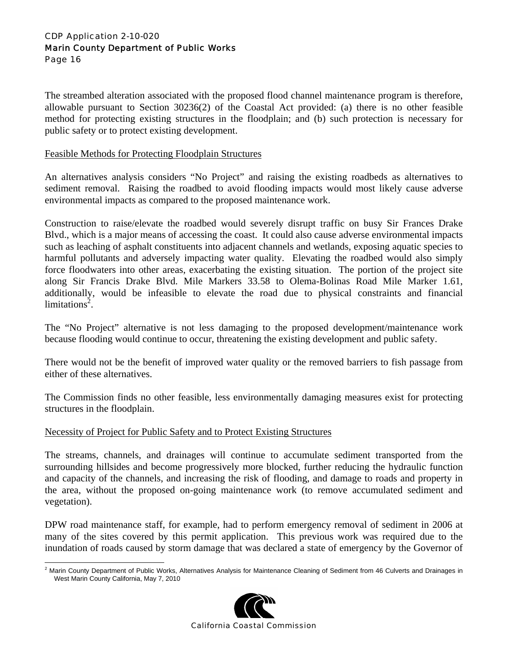The streambed alteration associated with the proposed flood channel maintenance program is therefore, allowable pursuant to Section 30236(2) of the Coastal Act provided: (a) there is no other feasible method for protecting existing structures in the floodplain; and (b) such protection is necessary for public safety or to protect existing development.

#### Feasible Methods for Protecting Floodplain Structures

An alternatives analysis considers "No Project" and raising the existing roadbeds as alternatives to sediment removal. Raising the roadbed to avoid flooding impacts would most likely cause adverse environmental impacts as compared to the proposed maintenance work.

Construction to raise/elevate the roadbed would severely disrupt traffic on busy Sir Frances Drake Blvd., which is a major means of accessing the coast. It could also cause adverse environmental impacts such as leaching of asphalt constituents into adjacent channels and wetlands, exposing aquatic species to harmful pollutants and adversely impacting water quality. Elevating the roadbed would also simply force floodwaters into other areas, exacerbating the existing situation. The portion of the project site along Sir Francis Drake Blvd. Mile Markers 33.58 to Olema-Bolinas Road Mile Marker 1.61, additionally, would be infeasible to elevate the road due to physical constraints and financial limitations<sup>2</sup>.

The "No Project" alternative is not less damaging to the proposed development/maintenance work because flooding would continue to occur, threatening the existing development and public safety.

There would not be the benefit of improved water quality or the removed barriers to fish passage from either of these alternatives.

The Commission finds no other feasible, less environmentally damaging measures exist for protecting structures in the floodplain.

#### Necessity of Project for Public Safety and to Protect Existing Structures

The streams, channels, and drainages will continue to accumulate sediment transported from the surrounding hillsides and become progressively more blocked, further reducing the hydraulic function and capacity of the channels, and increasing the risk of flooding, and damage to roads and property in the area, without the proposed on-going maintenance work (to remove accumulated sediment and vegetation).

DPW road maintenance staff, for example, had to perform emergency removal of sediment in 2006 at many of the sites covered by this permit application. This previous work was required due to the inundation of roads caused by storm damage that was declared a state of emergency by the Governor of

 2 Marin County Department of Public Works, Alternatives Analysis for Maintenance Cleaning of Sediment from 46 Culverts and Drainages in West Marin County California, May 7, 2010

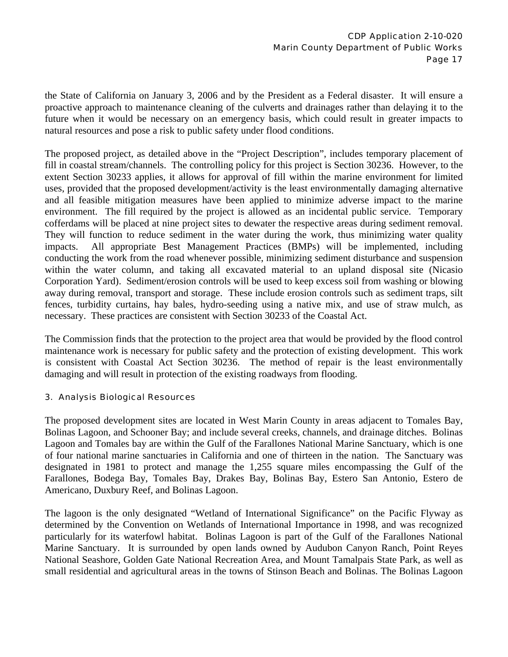the State of California on January 3, 2006 and by the President as a Federal disaster. It will ensure a proactive approach to maintenance cleaning of the culverts and drainages rather than delaying it to the future when it would be necessary on an emergency basis, which could result in greater impacts to natural resources and pose a risk to public safety under flood conditions.

The proposed project, as detailed above in the "Project Description", includes temporary placement of fill in coastal stream/channels. The controlling policy for this project is Section 30236. However, to the extent Section 30233 applies, it allows for approval of fill within the marine environment for limited uses, provided that the proposed development/activity is the least environmentally damaging alternative and all feasible mitigation measures have been applied to minimize adverse impact to the marine environment. The fill required by the project is allowed as an incidental public service. Temporary cofferdams will be placed at nine project sites to dewater the respective areas during sediment removal. They will function to reduce sediment in the water during the work, thus minimizing water quality impacts. All appropriate Best Management Practices (BMPs) will be implemented, including conducting the work from the road whenever possible, minimizing sediment disturbance and suspension within the water column, and taking all excavated material to an upland disposal site (Nicasio Corporation Yard). Sediment/erosion controls will be used to keep excess soil from washing or blowing away during removal, transport and storage. These include erosion controls such as sediment traps, silt fences, turbidity curtains, hay bales, hydro-seeding using a native mix, and use of straw mulch, as necessary. These practices are consistent with Section 30233 of the Coastal Act.

The Commission finds that the protection to the project area that would be provided by the flood control maintenance work is necessary for public safety and the protection of existing development. This work is consistent with Coastal Act Section 30236. The method of repair is the least environmentally damaging and will result in protection of the existing roadways from flooding.

#### 3. Analysis Biological Resources

The proposed development sites are located in West Marin County in areas adjacent to Tomales Bay, Bolinas Lagoon, and Schooner Bay; and include several creeks, channels, and drainage ditches. Bolinas Lagoon and Tomales bay are within the Gulf of the Farallones National Marine Sanctuary, which is one of four national marine sanctuaries in California and one of thirteen in the nation. The Sanctuary was designated in 1981 to protect and manage the 1,255 square miles encompassing the Gulf of the Farallones, Bodega Bay, Tomales Bay, Drakes Bay, Bolinas Bay, Estero San Antonio, Estero de Americano, Duxbury Reef, and Bolinas Lagoon.

The lagoon is the only designated "Wetland of International Significance" on the Pacific Flyway as determined by the Convention on Wetlands of International Importance in 1998, and was recognized particularly for its waterfowl habitat. Bolinas Lagoon is part of the Gulf of the Farallones National Marine Sanctuary. It is surrounded by open lands owned by Audubon Canyon Ranch, Point Reyes National Seashore, Golden Gate National Recreation Area, and Mount Tamalpais State Park, as well as small residential and agricultural areas in the towns of Stinson Beach and Bolinas. The Bolinas Lagoon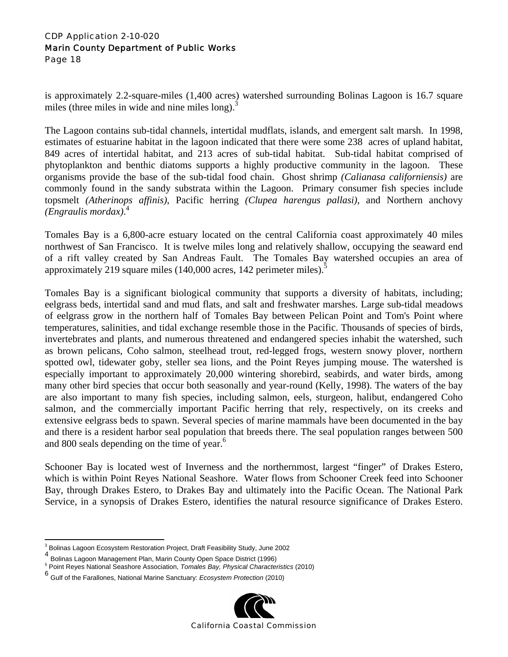is approximately 2.2-square-miles (1,400 acres) watershed surrounding Bolinas Lagoon is 16.7 square miles (three miles in wide and nine miles long). $3$ 

The Lagoon contains sub-tidal channels, intertidal mudflats, islands, and emergent salt marsh. In 1998, estimates of estuarine habitat in the lagoon indicated that there were some 238 acres of upland habitat, 849 acres of intertidal habitat, and 213 acres of sub-tidal habitat. Sub-tidal habitat comprised of phytoplankton and benthic diatoms supports a highly productive community in the lagoon. These organisms provide the base of the sub-tidal food chain. Ghost shrimp *(Calianasa californiensis)* are commonly found in the sandy substrata within the Lagoon. Primary consumer fish species include topsmelt *(Atherinops affinis)*, Pacific herring *(Clupea harengus pallasi)*, and Northern anchovy *(Engraulis mordax)*. 4

Tomales Bay is a 6,800-acre estuary located on the central California coast approximately 40 miles northwest of San Francisco. It is twelve miles long and relatively shallow, occupying the seaward end of a rift valley created by San Andreas Fault. The Tomales Bay watershed occupies an area of approximately 219 square miles  $(140,000 \text{ acres}, 142 \text{ perimeter miles})$ .

Tomales Bay is a significant biological community that supports a diversity of habitats, including; eelgrass beds, intertidal sand and mud flats, and salt and freshwater marshes. Large sub-tidal meadows of eelgrass grow in the northern half of Tomales Bay between Pelican Point and Tom's Point where temperatures, salinities, and tidal exchange resemble those in the Pacific. Thousands of species of birds, invertebrates and plants, and numerous threatened and endangered species inhabit the watershed, such as brown pelicans, Coho salmon, steelhead trout, red-legged frogs, western snowy plover, northern spotted owl, tidewater goby, steller sea lions, and the Point Reyes jumping mouse. The watershed is especially important to approximately 20,000 wintering shorebird, seabirds, and water birds, among many other bird species that occur both seasonally and year-round (Kelly, 1998). The waters of the bay are also important to many fish species, including salmon, eels, sturgeon, halibut, endangered Coho salmon, and the commercially important Pacific herring that rely, respectively, on its creeks and extensive eelgrass beds to spawn. Several species of marine mammals have been documented in the bay and there is a resident harbor seal population that breeds there. The seal population ranges between 500 and 800 seals depending on the time of year.<sup>6</sup>

Schooner Bay is located west of Inverness and the northernmost, largest "finger" of Drakes Estero, which is within Point Reyes National Seashore. Water flows from Schooner Creek feed into Schooner Bay, through Drakes Estero, to Drakes Bay and ultimately into the Pacific Ocean. The National Park Service, in a synopsis of Drakes Estero, identifies the natural resource significance of Drakes Estero.

<sup>6</sup> Gulf of the Farallones, National Marine Sanctuary: *Ecosystem Protection* (2010)



 $\overline{a}$ <sup>3</sup> Bolinas Lagoon Ecosystem Restoration Project, Draft Feasibility Study, June 2002

Bolinas Lagoon Management Plan, Marin County Open Space District (1996)

Point Reyes National Seashore Association, *Tomales Bay, Physical Characteristics* (2010)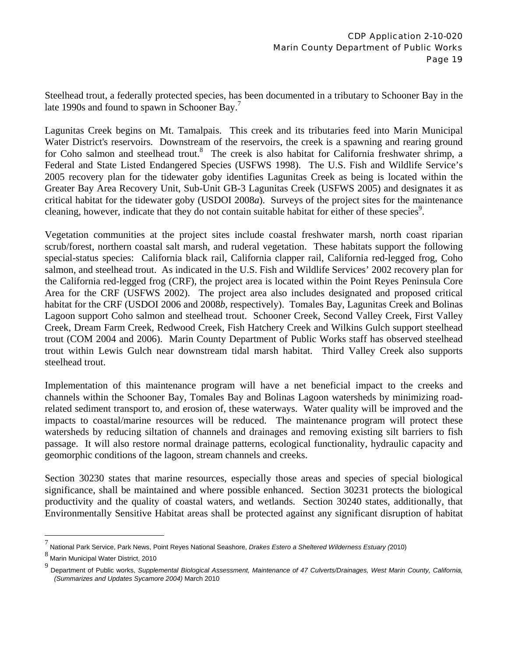Steelhead trout, a federally protected species, has been documented in a tributary to Schooner Bay in the late 1990s and found to spawn in Schooner Bay.<sup>7</sup>

Lagunitas Creek begins on Mt. Tamalpais. This creek and its tributaries feed into Marin Municipal Water District's reservoirs. Downstream of the reservoirs, the creek is a spawning and rearing ground for Coho salmon and steelhead trout.<sup>8</sup> The creek is also habitat for California freshwater shrimp, a Federal and State Listed Endangered Species (USFWS 1998). The U.S. Fish and Wildlife Service's 2005 recovery plan for the tidewater goby identifies Lagunitas Creek as being is located within the Greater Bay Area Recovery Unit, Sub-Unit GB-3 Lagunitas Creek (USFWS 2005) and designates it as critical habitat for the tidewater goby (USDOI 2008*a*). Surveys of the project sites for the maintenance cleaning, however, indicate that they do not contain suitable habitat for either of these species<sup>9</sup>.

Vegetation communities at the project sites include coastal freshwater marsh, north coast riparian scrub/forest, northern coastal salt marsh, and ruderal vegetation. These habitats support the following special-status species: California black rail, California clapper rail, California red-legged frog, Coho salmon, and steelhead trout. As indicated in the U.S. Fish and Wildlife Services' 2002 recovery plan for the California red-legged frog (CRF), the project area is located within the Point Reyes Peninsula Core Area for the CRF (USFWS 2002). The project area also includes designated and proposed critical habitat for the CRF (USDOI 2006 and 2008*b*, respectively). Tomales Bay, Lagunitas Creek and Bolinas Lagoon support Coho salmon and steelhead trout. Schooner Creek, Second Valley Creek, First Valley Creek, Dream Farm Creek, Redwood Creek, Fish Hatchery Creek and Wilkins Gulch support steelhead trout (COM 2004 and 2006). Marin County Department of Public Works staff has observed steelhead trout within Lewis Gulch near downstream tidal marsh habitat. Third Valley Creek also supports steelhead trout.

Implementation of this maintenance program will have a net beneficial impact to the creeks and channels within the Schooner Bay, Tomales Bay and Bolinas Lagoon watersheds by minimizing roadrelated sediment transport to, and erosion of, these waterways. Water quality will be improved and the impacts to coastal/marine resources will be reduced. The maintenance program will protect these watersheds by reducing siltation of channels and drainages and removing existing silt barriers to fish passage. It will also restore normal drainage patterns, ecological functionality, hydraulic capacity and geomorphic conditions of the lagoon, stream channels and creeks.

Section 30230 states that marine resources, especially those areas and species of special biological significance, shall be maintained and where possible enhanced. Section 30231 protects the biological productivity and the quality of coastal waters, and wetlands. Section 30240 states, additionally, that Environmentally Sensitive Habitat areas shall be protected against any significant disruption of habitat

1

<sup>7</sup> National Park Service, Park News, Point Reyes National Seashore, *Drakes Estero a Sheltered Wilderness Estuary (*2010)

<sup>8</sup> Marin Municipal Water District, 2010

<sup>9</sup> Department of Public works, *Supplemental Biological Assessment, Maintenance of 47 Culverts/Drainages, West Marin County, California, (Summarizes and Updates Sycamore 2004)* March 2010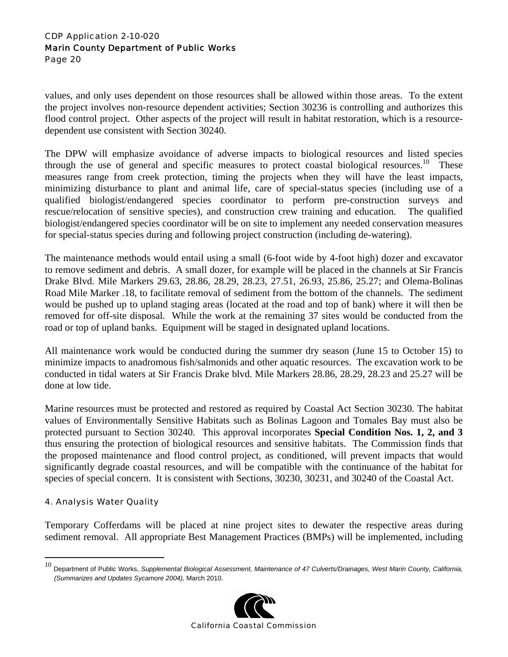values, and only uses dependent on those resources shall be allowed within those areas. To the extent the project involves non-resource dependent activities; Section 30236 is controlling and authorizes this flood control project. Other aspects of the project will result in habitat restoration, which is a resourcedependent use consistent with Section 30240.

The DPW will emphasize avoidance of adverse impacts to biological resources and listed species through the use of general and specific measures to protect coastal biological resources.<sup>10</sup> These measures range from creek protection, timing the projects when they will have the least impacts, minimizing disturbance to plant and animal life, care of special-status species (including use of a qualified biologist/endangered species coordinator to perform pre-construction surveys and rescue/relocation of sensitive species), and construction crew training and education. The qualified biologist/endangered species coordinator will be on site to implement any needed conservation measures for special-status species during and following project construction (including de-watering).

The maintenance methods would entail using a small (6-foot wide by 4-foot high) dozer and excavator to remove sediment and debris. A small dozer, for example will be placed in the channels at Sir Francis Drake Blvd. Mile Markers 29.63, 28.86, 28.29, 28.23, 27.51, 26.93, 25.86, 25.27; and Olema-Bolinas Road Mile Marker .18, to facilitate removal of sediment from the bottom of the channels. The sediment would be pushed up to upland staging areas (located at the road and top of bank) where it will then be removed for off-site disposal. While the work at the remaining 37 sites would be conducted from the road or top of upland banks. Equipment will be staged in designated upland locations.

All maintenance work would be conducted during the summer dry season (June 15 to October 15) to minimize impacts to anadromous fish/salmonids and other aquatic resources. The excavation work to be conducted in tidal waters at Sir Francis Drake blvd. Mile Markers 28.86, 28.29, 28.23 and 25.27 will be done at low tide.

Marine resources must be protected and restored as required by Coastal Act Section 30230. The habitat values of Environmentally Sensitive Habitats such as Bolinas Lagoon and Tomales Bay must also be protected pursuant to Section 30240. This approval incorporates **Special Condition Nos. 1, 2, and 3** thus ensuring the protection of biological resources and sensitive habitats. The Commission finds that the proposed maintenance and flood control project, as conditioned, will prevent impacts that would significantly degrade coastal resources, and will be compatible with the continuance of the habitat for species of special concern. It is consistent with Sections, 30230, 30231, and 30240 of the Coastal Act.

#### 4. Analysis Water Quality

 $\overline{a}$ 

Temporary Cofferdams will be placed at nine project sites to dewater the respective areas during sediment removal. All appropriate Best Management Practices (BMPs) will be implemented, including

<sup>10</sup> Department of Public Works, *Supplemental Biological Assessment, Maintenance of 47 Culverts/Drainages, West Marin County, California, (Summarizes and Updates Sycamore 2004),* March 2010.

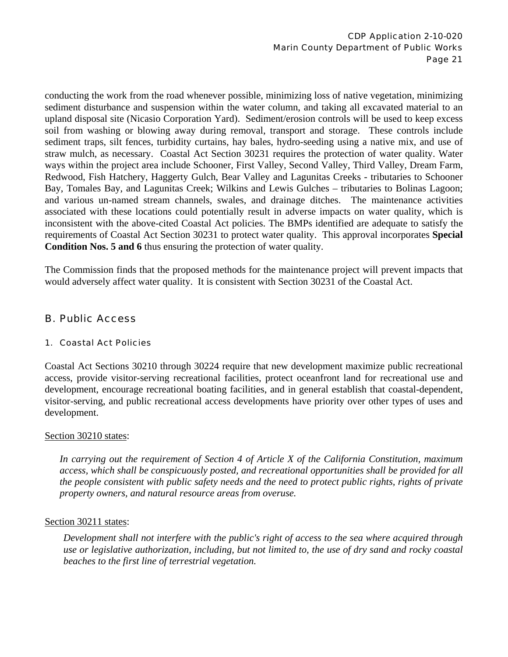conducting the work from the road whenever possible, minimizing loss of native vegetation, minimizing sediment disturbance and suspension within the water column, and taking all excavated material to an upland disposal site (Nicasio Corporation Yard). Sediment/erosion controls will be used to keep excess soil from washing or blowing away during removal, transport and storage. These controls include sediment traps, silt fences, turbidity curtains, hay bales, hydro-seeding using a native mix, and use of straw mulch, as necessary. Coastal Act Section 30231 requires the protection of water quality. Water ways within the project area include Schooner, First Valley, Second Valley, Third Valley, Dream Farm, Redwood, Fish Hatchery, Haggerty Gulch, Bear Valley and Lagunitas Creeks - tributaries to Schooner Bay, Tomales Bay, and Lagunitas Creek; Wilkins and Lewis Gulches – tributaries to Bolinas Lagoon; and various un-named stream channels, swales, and drainage ditches. The maintenance activities associated with these locations could potentially result in adverse impacts on water quality, which is inconsistent with the above-cited Coastal Act policies. The BMPs identified are adequate to satisfy the requirements of Coastal Act Section 30231 to protect water quality. This approval incorporates **Special Condition Nos. 5 and 6** thus ensuring the protection of water quality.

The Commission finds that the proposed methods for the maintenance project will prevent impacts that would adversely affect water quality. It is consistent with Section 30231 of the Coastal Act.

## B. Public Access

#### 1. Coastal Act Policies

Coastal Act Sections 30210 through 30224 require that new development maximize public recreational access, provide visitor-serving recreational facilities, protect oceanfront land for recreational use and development, encourage recreational boating facilities, and in general establish that coastal-dependent, visitor-serving, and public recreational access developments have priority over other types of uses and development.

#### Section 30210 states:

*In carrying out the requirement of Section 4 of Article X of the California Constitution, maximum access, which shall be conspicuously posted, and recreational opportunities shall be provided for all the people consistent with public safety needs and the need to protect public rights, rights of private property owners, and natural resource areas from overuse.* 

#### Section 30211 states:

*Development shall not interfere with the public's right of access to the sea where acquired through use or legislative authorization, including, but not limited to, the use of dry sand and rocky coastal beaches to the first line of terrestrial vegetation.*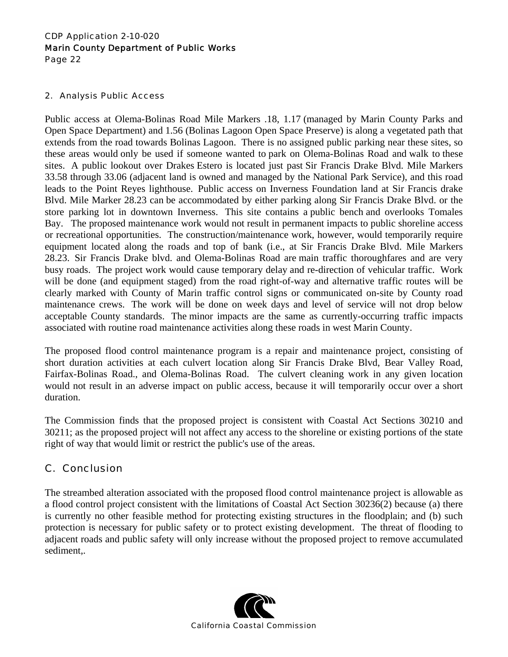#### 2. Analysis Public Access

Public access at Olema-Bolinas Road Mile Markers .18, 1.17 (managed by Marin County Parks and Open Space Department) and 1.56 (Bolinas Lagoon Open Space Preserve) is along a vegetated path that extends from the road towards Bolinas Lagoon. There is no assigned public parking near these sites, so these areas would only be used if someone wanted to park on Olema-Bolinas Road and walk to these sites. A public lookout over Drakes Estero is located just past Sir Francis Drake Blvd. Mile Markers 33.58 through 33.06 (adjacent land is owned and managed by the National Park Service), and this road leads to the Point Reyes lighthouse. Public access on Inverness Foundation land at Sir Francis drake Blvd. Mile Marker 28.23 can be accommodated by either parking along Sir Francis Drake Blvd. or the store parking lot in downtown Inverness. This site contains a public bench and overlooks Tomales Bay. The proposed maintenance work would not result in permanent impacts to public shoreline access or recreational opportunities. The construction/maintenance work, however, would temporarily require equipment located along the roads and top of bank (i.e., at Sir Francis Drake Blvd. Mile Markers 28.23. Sir Francis Drake blvd. and Olema-Bolinas Road are main traffic thoroughfares and are very busy roads. The project work would cause temporary delay and re-direction of vehicular traffic. Work will be done (and equipment staged) from the road right-of-way and alternative traffic routes will be clearly marked with County of Marin traffic control signs or communicated on-site by County road maintenance crews. The work will be done on week days and level of service will not drop below acceptable County standards. The minor impacts are the same as currently-occurring traffic impacts associated with routine road maintenance activities along these roads in west Marin County.

The proposed flood control maintenance program is a repair and maintenance project, consisting of short duration activities at each culvert location along Sir Francis Drake Blvd, Bear Valley Road, Fairfax-Bolinas Road., and Olema-Bolinas Road. The culvert cleaning work in any given location would not result in an adverse impact on public access, because it will temporarily occur over a short duration.

The Commission finds that the proposed project is consistent with Coastal Act Sections 30210 and 30211; as the proposed project will not affect any access to the shoreline or existing portions of the state right of way that would limit or restrict the public's use of the areas.

## C. Conclusion

The streambed alteration associated with the proposed flood control maintenance project is allowable as a flood control project consistent with the limitations of Coastal Act Section 30236(2) because (a) there is currently no other feasible method for protecting existing structures in the floodplain; and (b) such protection is necessary for public safety or to protect existing development. The threat of flooding to adjacent roads and public safety will only increase without the proposed project to remove accumulated sediment,.

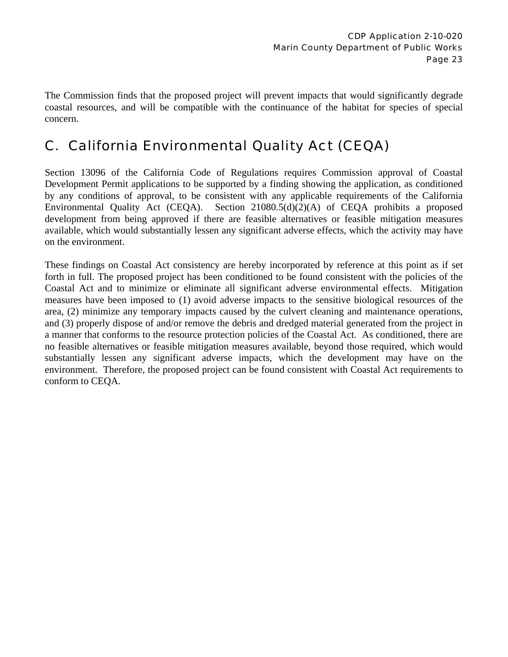The Commission finds that the proposed project will prevent impacts that would significantly degrade coastal resources, and will be compatible with the continuance of the habitat for species of special concern.

# C. California Environmental Quality Act (CEQA)

Section 13096 of the California Code of Regulations requires Commission approval of Coastal Development Permit applications to be supported by a finding showing the application, as conditioned by any conditions of approval, to be consistent with any applicable requirements of the California Environmental Quality Act (CEQA). Section 21080.5(d)(2)(A) of CEQA prohibits a proposed development from being approved if there are feasible alternatives or feasible mitigation measures available, which would substantially lessen any significant adverse effects, which the activity may have on the environment.

These findings on Coastal Act consistency are hereby incorporated by reference at this point as if set forth in full. The proposed project has been conditioned to be found consistent with the policies of the Coastal Act and to minimize or eliminate all significant adverse environmental effects. Mitigation measures have been imposed to (1) avoid adverse impacts to the sensitive biological resources of the area, (2) minimize any temporary impacts caused by the culvert cleaning and maintenance operations, and (3) properly dispose of and/or remove the debris and dredged material generated from the project in a manner that conforms to the resource protection policies of the Coastal Act. As conditioned, there are no feasible alternatives or feasible mitigation measures available, beyond those required, which would substantially lessen any significant adverse impacts, which the development may have on the environment. Therefore, the proposed project can be found consistent with Coastal Act requirements to conform to CEQA.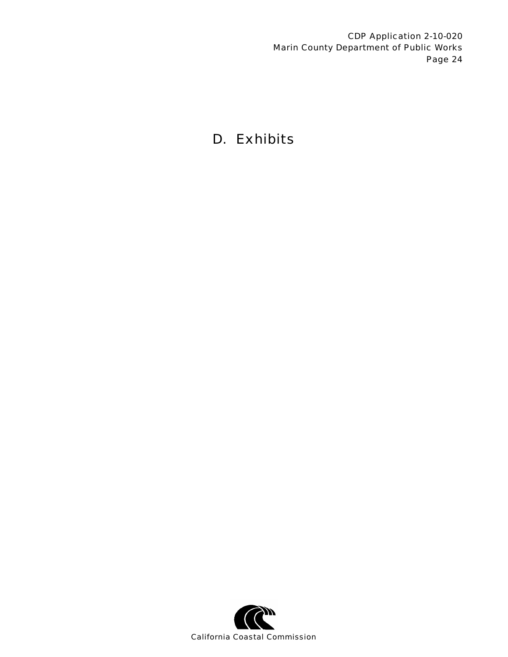# D. Exhibits

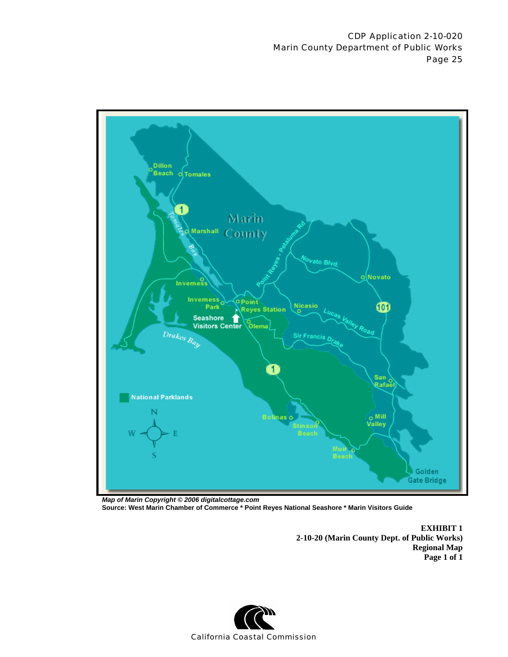

*Map of Marin Copyright © 2006 digitalcottage.com* **Source: West Marin Chamber of Commerce \* Point Reyes National Seashore \* Marin Visitors Guide**

> **EXHIBIT 1 2-10-20 (Marin County Dept. of Public Works) Regional Map Page 1 of 1**

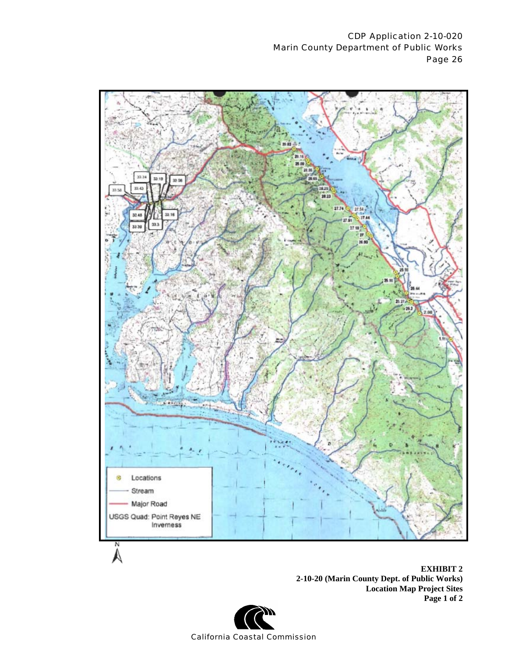

**2-10-20 (Marin County Dept. of Public Works) Location Map Project Sites Page 1 of 2** 

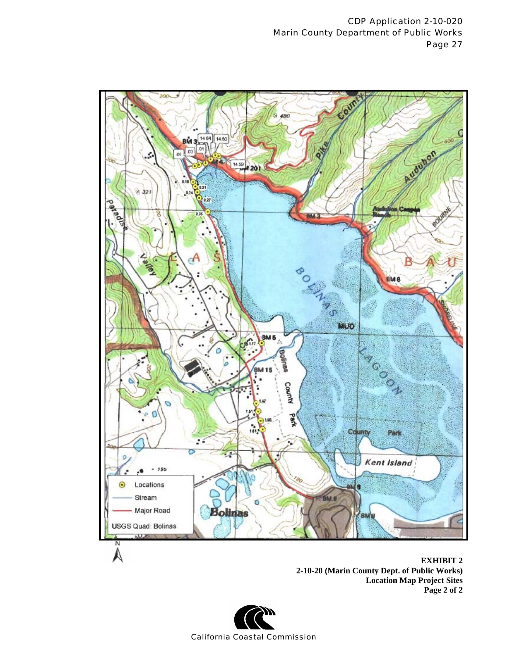

 **EXHIBIT 2 2-10-20 (Marin County Dept. of Public Works) Location Map Project Sites Page 2 of 2**

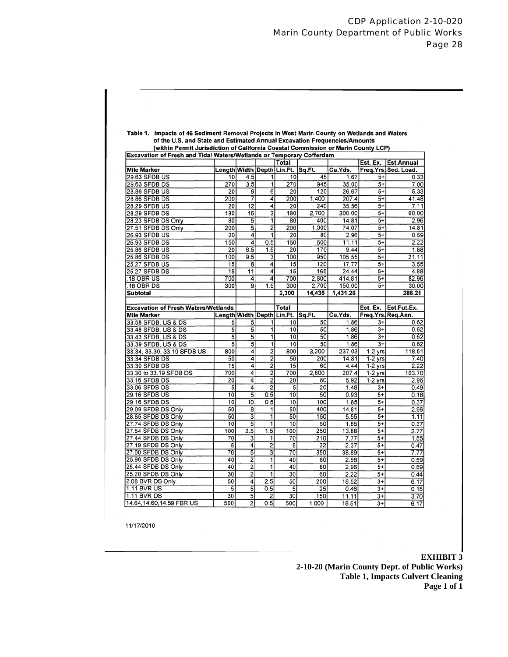|                                                                                                                             | (within Permit Jurisdiction of California Coastal Commission or Marin County LCP) |                  |                           |                            |           |               |                 |                                                              |
|-----------------------------------------------------------------------------------------------------------------------------|-----------------------------------------------------------------------------------|------------------|---------------------------|----------------------------|-----------|---------------|-----------------|--------------------------------------------------------------|
| Excavation of Fresh and Tidal Waters/Wetlands or Temporary Cofferdam                                                        |                                                                                   |                  |                           | Total                      |           |               | Est. Ex.        | <b>Est.Annual</b>                                            |
| <b>Mile Marker</b>                                                                                                          |                                                                                   |                  |                           | Length Width Depth Lin.Ft. | Sq.Ft.    | Cu.Yds.       |                 | Freq.Yrs.Sed. Load.                                          |
| 29.63 SFDB US                                                                                                               | 10                                                                                | 4.5              | 1                         | 10                         | 45        | 1.67          | 5+              | 0.33                                                         |
| 29.63 SFDB DS                                                                                                               | 270                                                                               | $\overline{3.5}$ | 1                         | 270                        | 945       | 35.00         | $5+$            | 7.00                                                         |
| 28.86 SFDB US                                                                                                               | 20                                                                                | 6                | 6                         | 20                         | 120       | 26.67         | $\overline{5+}$ | 5.33                                                         |
| 28.86 SFDB DS                                                                                                               | 200                                                                               | 7                | 4                         | 200                        | 1,400     | 207.4         | $5+$            | 41.48                                                        |
| <b>28.29 SFDB US</b>                                                                                                        | $\overline{20}$                                                                   | $\overline{12}$  | 4                         | 20                         | 240       | 35.56         | $\overline{5+}$ | 7.11                                                         |
| 28.29 SFDB DS                                                                                                               | 180                                                                               | $\overline{15}$  | $\overline{\overline{3}}$ | 180                        | 2.700     | 300.00        | $5+$            | 60.00                                                        |
| 28.23 SFDB DS Only                                                                                                          | 80                                                                                | 5                | ī                         | 80                         | 400       | 14.81         | $5+$            | 2.96                                                         |
|                                                                                                                             | 200                                                                               | $\overline{5}$   | $\overline{2}$            | 200                        | 1,000     | 74.07         | 5+              | 14.81                                                        |
| 27.51 SFDB DS Only                                                                                                          | 20                                                                                | 4                | 1                         | 20                         | 80        | 2.96          | $5+$            |                                                              |
| 26.93 SFDB US                                                                                                               |                                                                                   |                  |                           |                            |           |               |                 | 0.59                                                         |
| 26.93 SFDB DS                                                                                                               | 150                                                                               | 4                | 0.5                       | 150                        | 600       | 11.11         | 5+              | 2.22                                                         |
| 25.86 SFDB US                                                                                                               | 20                                                                                | 8.5              | 1.5                       | 20                         | 170       | 9.44          | $5+$            | 1.88                                                         |
| 25.86 SFDB DS                                                                                                               | 100                                                                               | 9.5              | 3                         | 100                        | 950       | 105.55        | 5+              | 21.11                                                        |
| <b>25.27 SFDB US</b>                                                                                                        | $\overline{15}$                                                                   | 8                | 4                         | 15                         | 120       | 17.77         | $\overline{5+}$ | 3.55                                                         |
| 25.27 SFDB DS                                                                                                               | 15                                                                                | 11               | 4                         | 15                         | 165       | 24.44         | $5+$            | 4.88                                                         |
| .18 OBR US                                                                                                                  | 700                                                                               | 4                | 4                         | 700                        | 2,800     | 414.81        | 5+              | 82.96                                                        |
| .18 OBR DS                                                                                                                  | 300                                                                               | $\overline{9}$   | 1.5                       | 300                        | 2,700     | 150.00        | $5+$            | 30.00                                                        |
| <b>Subtotal</b>                                                                                                             |                                                                                   |                  |                           | 2,300                      | 14,435    | 1,431.26      |                 | 286.21                                                       |
|                                                                                                                             |                                                                                   |                  |                           |                            |           |               |                 |                                                              |
| <b>Excavation of Fresh Waters/Wetlands</b>                                                                                  |                                                                                   |                  |                           | Total                      |           |               | Est. Ex.        | Est.Fut.Ex.                                                  |
| <b>Mile Marker</b>                                                                                                          |                                                                                   |                  |                           | Length Width Depth Lin.Ft. | Sq.Ft.    | Cu.Yds.       |                 | Freq.Yrs.Req.Ann.                                            |
| 33.58 SFDB, US & DS                                                                                                         | 5                                                                                 | 5                | 1                         | 10                         | 50        | 1.86          | $3+$            | 0.62                                                         |
| 33.48 SFDB, US & DS                                                                                                         | $\overline{5}$                                                                    | $\overline{5}$   | ī                         | 10                         | 50        | 1.86          | $3+$            | 0.62                                                         |
| 33.43 SFDB, US & DS                                                                                                         | $\overline{5}$                                                                    | $\overline{5}$   | 1                         | 10                         | 50        | 1.86          | $3+$            | 0.62                                                         |
| 33.39 SFDB, US & DS                                                                                                         | $\overline{5}$                                                                    | $\overline{5}$   | ī                         | 10                         | 50        | 1.86          | $\overline{3+}$ | 0.62                                                         |
| 33.34, 33.30, 33.19 SFDB US                                                                                                 | 800                                                                               | 4                | 2                         | 800                        | 3,200     | 237.03        | $1-2$ yrs       | 118.51                                                       |
| 33.34 SFDB DS                                                                                                               | 50                                                                                | 4                | 2                         | 50                         | 200       | 14.81         | $1-2$ yrs       | 7.40                                                         |
| 33.30 SFDB DS                                                                                                               | 15                                                                                | 4                | $\overline{2}$            | 15                         | 60        | 4.44          | $1-2$ yrs       | 2.22                                                         |
| 33.30 to 33.19 SFDB DS                                                                                                      | 700                                                                               | 4                | $\overline{2}$            | 700                        | 2,800     | 207.4         | $1-2$ yrs       | 103.70                                                       |
| 33.16 SFDB DS                                                                                                               | $\overline{20}$                                                                   | 4                | 2                         | 20                         | 80        | 5.92          | $1-2$ yrs       | 2.96                                                         |
| 33.06 SFDB DS                                                                                                               | 5                                                                                 | 4                | $\overline{2}$            | 5                          | 20        | 1.48          | $3+$            | 0.49                                                         |
| 29.16 SFDB US                                                                                                               | $\overline{10}$                                                                   | 5                | 0.5                       | 10                         | 50        | 0.93          | $5+$            | 0.18                                                         |
|                                                                                                                             |                                                                                   |                  |                           |                            |           |               |                 |                                                              |
|                                                                                                                             | 10                                                                                | 10               | 0.5                       | 10                         | 100       | 1.85          | $5+$            |                                                              |
|                                                                                                                             | 50                                                                                | 8                | 1                         | 50                         | 400       | 14.81         | $5+$            |                                                              |
|                                                                                                                             | 50                                                                                | 3                | 1                         | 50                         | 150       | 5.55          | $5+$            |                                                              |
|                                                                                                                             | 10                                                                                | 5                | 1                         | 10                         | 50        | 1.85          | $5+$            |                                                              |
|                                                                                                                             | 100                                                                               |                  | 1.5                       | 100                        |           |               | $5+$            |                                                              |
|                                                                                                                             | 70                                                                                | 2.5              | 1                         | 70                         | 250       | 13.88         | $5+$            |                                                              |
| 29.16 SFDB DS<br>29.09 SFDB DS Only<br>28.65 SFDB DS Only<br>27.74 SFDB DS Only<br>27.54 SFDB DS Only<br>27.44 SFDB DS Only | 8                                                                                 | 3                |                           |                            | 210<br>32 | 7.77          | $5+$            |                                                              |
| 27.19 SFDB DS Only<br>27.00 SFDB DS Only                                                                                    | 70                                                                                | 4<br>5           | $\overline{2}$            | 8<br>70                    | 350       | 2.37<br>38.89 | $5+$            | 0.37<br>2.96<br>1.11<br>0.37<br>2.77<br>1.55<br>0.47<br>7.77 |
|                                                                                                                             | 40                                                                                |                  | $\overline{3}$<br>1       | 40                         | 80        |               | $5+$            |                                                              |
| 25.96 SFDB DS Only                                                                                                          | 40                                                                                | $\overline{2}$   | $\overline{1}$            | 40                         |           | 2.96          |                 | 0.59                                                         |
|                                                                                                                             |                                                                                   | 2                |                           |                            | 80        | 2.96          | $5+$            |                                                              |
|                                                                                                                             | 30                                                                                | $\overline{2}$   | 1                         | $\overline{30}$            | 60        | 2.22          | $5+$            |                                                              |
| 25.44 SFDB DS Only<br>25.20 SFDB DS Only<br>2.08 BVR DS Only                                                                | 50                                                                                | 4                | 2.5                       | 50                         | 200       | 18.52         | $3+$            | 0.59<br>0.44<br>6.17                                         |
| <b>1.11 BVR US</b><br>1.11 BVR DS                                                                                           | 5<br>30                                                                           | 5<br>5           | 0.5<br>2                  | 5<br>30                    | 25<br>150 | 0.46<br>11.11 | $3+$<br>$3+$    | 0.15<br>3.70                                                 |

# Table 1. Impacts of 46 Sediment Removal Projects in West Marin County on Wetlands and Waters

11/17/2010

#### **EXHIBIT 3**

**2-10-20 (Marin County Dept. of Public Works) Table 1, Impacts Culvert Cleaning Page 1 of 1**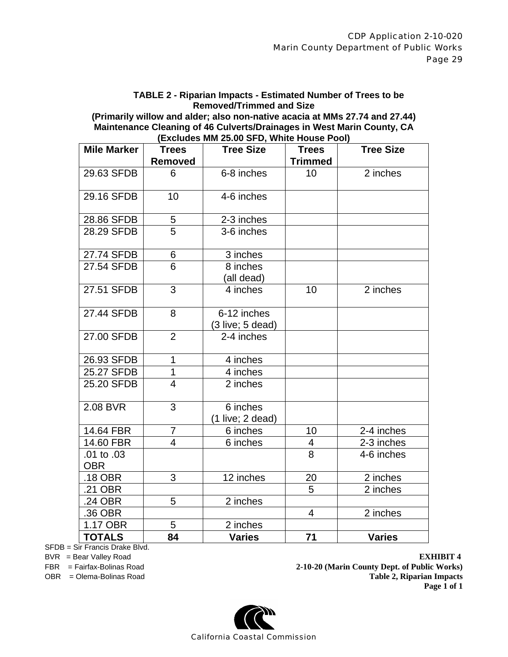**TABLE 2 - Riparian Impacts - Estimated Number of Trees to be Removed/Trimmed and Size** 

**(Primarily willow and alder; also non-native acacia at MMs 27.74 and 27.44) Maintenance Cleaning of 46 Culverts/Drainages in West Marin County, CA (Excludes MM 25.00 SFD, White House Pool)** 

| <b>Mile Marker</b>       | <b>Trees</b>   | <b>Tree Size</b>   | <b>Trees</b>    | <b>Tree Size</b> |
|--------------------------|----------------|--------------------|-----------------|------------------|
|                          | <b>Removed</b> |                    | <b>Trimmed</b>  |                  |
| 29.63 SFDB               | 6              | 6-8 inches         | 10 <sup>1</sup> | 2 inches         |
| 29.16 SFDB               | 10             | 4-6 inches         |                 |                  |
| 28.86 SFDB               | 5              | 2-3 inches         |                 |                  |
| 28.29 SFDB               | 5              | 3-6 inches         |                 |                  |
| 27.74 SFDB               | 6              | 3 inches           |                 |                  |
| 27.54 SFDB               | $\overline{6}$ | 8 inches           |                 |                  |
|                          |                | (all dead)         |                 |                  |
| 27.51 SFDB               | 3              | 4 inches           | 10              | 2 inches         |
| 27.44 SFDB               | 8              | 6-12 inches        |                 |                  |
|                          |                | $(3$ live; 5 dead) |                 |                  |
| 27.00 SFDB               | $\overline{2}$ | 2-4 inches         |                 |                  |
| 26.93 SFDB               | $\mathbf{1}$   | 4 inches           |                 |                  |
| 25.27 SFDB               | 1              | 4 inches           |                 |                  |
| 25.20 SFDB               | $\overline{4}$ | 2 inches           |                 |                  |
| 2.08 BVR                 | $\overline{3}$ | 6 inches           |                 |                  |
|                          |                | (1 live; 2 dead)   |                 |                  |
| 14.64 FBR                | $\overline{7}$ | 6 inches           | 10              | 2-4 inches       |
| 14.60 FBR                | $\overline{4}$ | 6 inches           | 4               | 2-3 inches       |
| .01 to .03<br><b>OBR</b> |                |                    | 8               | 4-6 inches       |
| .18 OBR                  | 3              | 12 inches          | 20              | 2 inches         |
| .21 OBR                  |                |                    | 5               | 2 inches         |
| .24 OBR                  | 5              | 2 inches           |                 |                  |
| .36 OBR                  |                |                    | $\overline{4}$  | 2 inches         |
| 1.17 OBR                 | 5              | 2 inches           |                 |                  |
| <b>TOTALS</b>            | 84             | <b>Varies</b>      | 71              | <b>Varies</b>    |

SFDB = Sir Francis Drake Blvd.

BVR = Bear Valley Road **EXHIBIT 4**<br>FBR = Fairfax-Bolinas Road **EXHIBIT 4**<br>**EXHIBIT 4**<br>**EXHIBIT 4**<br>**2-10-20 (Marin County Dept. of Public Works)** FBR = Fairfax-Bolinas Road **2-10-20 (Marin County Dept. of Public Works)** OBR = Olema-Bolinas Road **Table 2, Riparian Impacts Page 1 of 1**

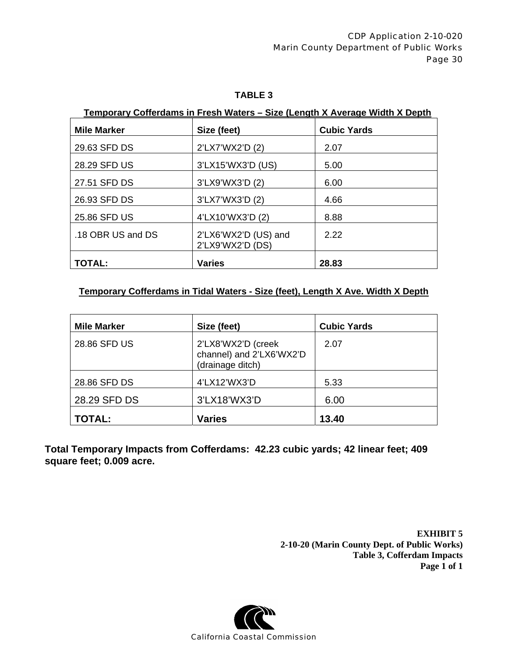#### **TABLE 3**

## **Temporary Cofferdams in Fresh Waters – Size (Length X Average Width X Depth**

| <b>Mile Marker</b> | Size (feet)                              | <b>Cubic Yards</b> |
|--------------------|------------------------------------------|--------------------|
| 29.63 SFD DS       | 2'LX7'WX2'D (2)                          | 2.07               |
| 28.29 SFD US       | 3'LX15'WX3'D (US)                        | 5.00               |
| 27.51 SFD DS       | 3'LX9'WX3'D (2)                          | 6.00               |
| 26.93 SFD DS       | 3'LX7'WX3'D (2)                          | 4.66               |
| 25.86 SFD US       | 4'LX10'WX3'D (2)                         | 8.88               |
| .18 OBR US and DS  | 2'LX6'WX2'D (US) and<br>2'LX9'WX2'D (DS) | 2.22               |
| <b>TOTAL:</b>      | <b>Varies</b>                            | 28.83              |

#### **Temporary Cofferdams in Tidal Waters - Size (feet), Length X Ave. Width X Depth**

| <b>Mile Marker</b> | Size (feet)                                                        | <b>Cubic Yards</b> |
|--------------------|--------------------------------------------------------------------|--------------------|
| 28.86 SFD US       | 2'LX8'WX2'D (creek<br>channel) and 2'LX6'WX2'D<br>(drainage ditch) | 2.07               |
| 28.86 SFD DS       | 4'LX12'WX3'D                                                       | 5.33               |
| 28.29 SFD DS       | 3'LX18'WX3'D                                                       | 6.00               |
| <b>TOTAL:</b>      | <b>Varies</b>                                                      | 13.40              |

**Total Temporary Impacts from Cofferdams: 42.23 cubic yards; 42 linear feet; 409 square feet; 0.009 acre.** 

> **EXHIBIT 5 2-10-20 (Marin County Dept. of Public Works) Table 3, Cofferdam Impacts Page 1 of 1**

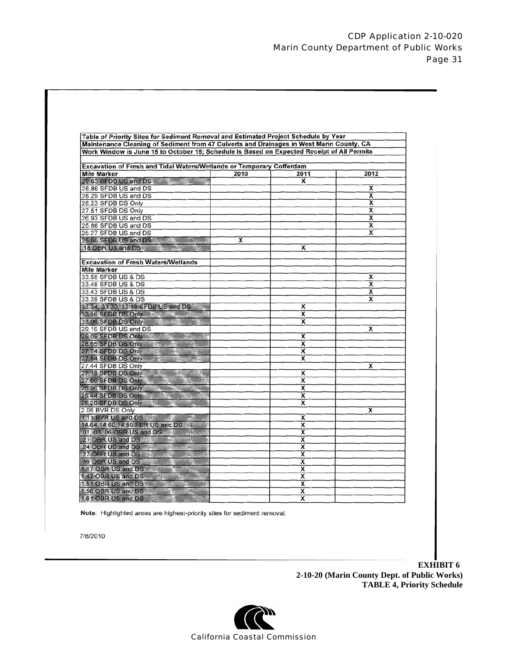| Table of Priority Sites for Sediment Removal and Estimated Project Schedule by Year<br>Maintenance Cleaning of Sediment from 47 Culverts and Drainages in West Marin County, CA                                                |      |                              |                         |
|--------------------------------------------------------------------------------------------------------------------------------------------------------------------------------------------------------------------------------|------|------------------------------|-------------------------|
| Work Window is June 15 to October 15; Schedule is Based on Expected Receipt of All Permits                                                                                                                                     |      |                              |                         |
|                                                                                                                                                                                                                                |      |                              |                         |
| Excavation of Fresh and Tidal Waters/Wetlands or Temporary Cofferdam                                                                                                                                                           |      |                              |                         |
| <b>Mile Marker</b>                                                                                                                                                                                                             | 2010 | 2011                         | 2012                    |
| 29.63 SFDB US and DS                                                                                                                                                                                                           |      | $\overline{\mathbf{x}}$      |                         |
| 28.86 SFDB US and DS                                                                                                                                                                                                           |      |                              | x                       |
| 28.29 SFDB US and DS                                                                                                                                                                                                           |      |                              | $\overline{\mathsf{x}}$ |
| 28.23 SFDB DS Only                                                                                                                                                                                                             |      |                              | $\overline{\mathbf{x}}$ |
| 27.51 SFDB DS Only                                                                                                                                                                                                             |      |                              | x                       |
| 26.93 SFDB US and DS                                                                                                                                                                                                           |      |                              | х                       |
| 25.86 SFDB US and DS                                                                                                                                                                                                           |      |                              | $\overline{\mathbf{x}}$ |
| 25.27 SFDB US and DS                                                                                                                                                                                                           |      |                              | x                       |
| 25.00 SFDB US and DS                                                                                                                                                                                                           | x    |                              |                         |
| 18 OBR US and DS and Bally and Bally and Bally                                                                                                                                                                                 |      | х                            |                         |
|                                                                                                                                                                                                                                |      |                              |                         |
| <b>Excavation of Fresh Waters/Wetlands</b>                                                                                                                                                                                     |      |                              |                         |
| <b>Mile Marker</b>                                                                                                                                                                                                             |      |                              |                         |
| 33.58 SFDB US & DS                                                                                                                                                                                                             |      |                              | x                       |
| 33.48 SFDB US & DS                                                                                                                                                                                                             |      |                              | x                       |
| 33.43 SFDB US & DS                                                                                                                                                                                                             |      |                              | x                       |
| 33.39 SFDB US & DS                                                                                                                                                                                                             |      |                              | x                       |
| 33.34, 33.30, 33.19 SFDB US and DS                                                                                                                                                                                             |      | x                            |                         |
| 33.16 SFDB DS Only May 19 Street                                                                                                                                                                                               |      | x                            |                         |
| 33.06 SFDB DS Only The Manuscriptus Manuscriptus Control                                                                                                                                                                       |      | $\overline{\mathbf{x}}$      |                         |
| 29.16 SFDB US and DS                                                                                                                                                                                                           |      |                              | x                       |
| 29.09 SFDB DS Only the things and the things of the top of the top of the top of the top of the top of the top of the top of the top of the top of the top of the top of the top of the top of the top of the top of the top o |      | $\overline{\mathbf{x}}$      |                         |
| 28.65 SFDB DS Only the state of the state of the state of the state of the state of the state of the state of the state of the state of the state of the state of the state of the state of the state of the state of the stat |      | $\overline{\mathbf{x}}$      |                         |
| 27.74 SFDB DS Only                                                                                                                                                                                                             |      | $\overline{\mathbf{x}}$      |                         |
| 27.54 SFDB DS Only New York 1999                                                                                                                                                                                               |      | x                            |                         |
| 27.44 SFDB DS Only                                                                                                                                                                                                             |      |                              | x                       |
| 27.19 SFDB DS Only                                                                                                                                                                                                             |      | х                            |                         |
| 27.00 SFDB DS Only & 2 2012 N                                                                                                                                                                                                  |      | x                            |                         |
| 25.96 SFDB DS Only 1944                                                                                                                                                                                                        |      | x                            |                         |
|                                                                                                                                                                                                                                |      | x                            |                         |
| 25.20 SFDB DS Only                                                                                                                                                                                                             |      | x                            |                         |
| 2.08 BVR DS Only                                                                                                                                                                                                               |      |                              | x                       |
| 1.11 BVR US and DS TO THE TABLE TO THE TABLE TO THE TABLE TO THE TABLE                                                                                                                                                         |      | x                            |                         |
| 14.64, 14.60, 14.59 FBR US and DS                                                                                                                                                                                              |      | $\overline{\mathbf{x}}$      |                         |
| 01, 03, 06 OBR US and DS 200 200 200 200                                                                                                                                                                                       |      | x                            |                         |
| 21 OBR US and DS and Ball and Ball and Ball                                                                                                                                                                                    |      | ┳                            |                         |
| 24 OBR US and DS                                                                                                                                                                                                               |      | X                            |                         |
| 27 OBR US and DS WE work and the state                                                                                                                                                                                         |      | $\overline{\mathbf{x}}$      |                         |
| 36 OBR US and DS and Ball and Ball and Ball                                                                                                                                                                                    |      | x                            |                         |
| 1.17 OBR US and DS                                                                                                                                                                                                             |      | $\overline{\mathbf{x}}$      |                         |
| 1.47 OBR US and DS And The Manuscript<br>1.51 OBR US and DS                                                                                                                                                                    |      | x<br>$\overline{\mathbf{x}}$ |                         |
|                                                                                                                                                                                                                                |      |                              |                         |

Note: Highlighted areas are highest-priority sites for sediment removal.

7/8/2010

 **EXHIBIT 6 2-10-20 (Marin County Dept. of Public Works) TABLE 4, Priority Schedule**